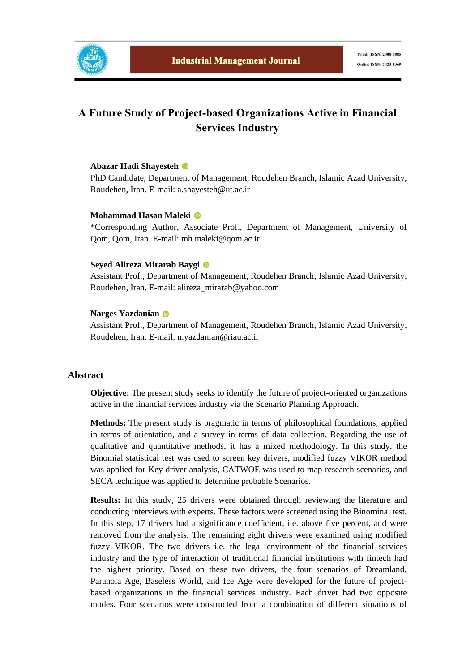

# **A Future Study of Project-based Organizations Active in Financial Services Industry**

#### **Abazar Hadi Shayesteh**

PhD Candidate, Department of Management, Roudehen Branch, Islamic Azad University, Roudehen, Iran. E-mail: a.shayesteh@ut.ac.ir

#### **Mohammad Hasan Maleki**

\*Corresponding Author, Associate Prof., Department of Management, University of Qom, Qom, Iran. E-mail: mh.maleki@qom.ac.ir

#### **Seyed Alireza Mirarab Baygi**

Assistant Prof., Department of Management, Roudehen Branch, Islamic Azad University, Roudehen, Iran. E-mail: alireza\_mirarab@yahoo.com

#### **Narges Yazdanian**

Assistant Prof., Department of Management, Roudehen Branch, Islamic Azad University, Roudehen, Iran. E-mail: n.yazdanian@riau.ac.ir

#### **Abstract**

**Objective:** The present study seeks to identify the future of project-oriented organizations active in the financial services industry via the Scenario Planning Approach.

**Methods:** The present study is pragmatic in terms of philosophical foundations, applied in terms of orientation, and a survey in terms of data collection. Regarding the use of qualitative and quantitative methods, it has a mixed methodology. In this study, the Binomial statistical test was used to screen key drivers, modified fuzzy VIKOR method was applied for Key driver analysis, CATWOE was used to map research scenarios, and SECA technique was applied to determine probable Scenarios.

**Results:** In this study, 25 drivers were obtained through reviewing the literature and conducting interviews with experts. These factors were screened using the Binominal test. In this step, 17 drivers had a significance coefficient, i.e. above five percent, and were removed from the analysis. The remaining eight drivers were examined using modified fuzzy VIKOR. The two drivers i.e. the legal environment of the financial services industry and the type of interaction of traditional financial institutions with fintech had the highest priority. Based on these two drivers, the four scenarios of Dreamland, Paranoia Age, Baseless World, and Ice Age were developed for the future of projectbased organizations in the financial services industry. Each driver had two opposite modes. Four scenarios were constructed from a combination of different situations of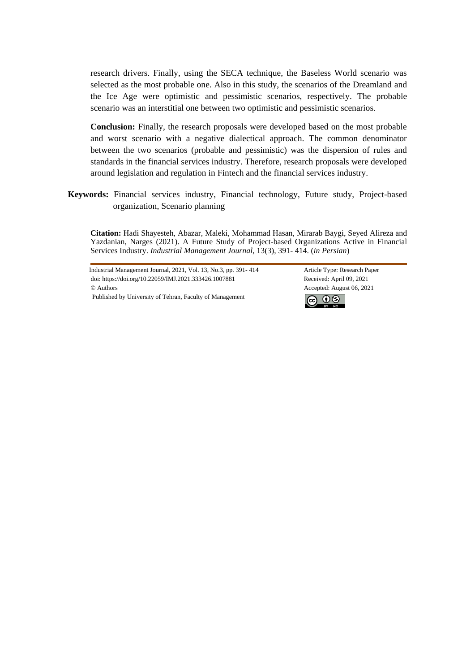research drivers. Finally, using the SECA technique, the Baseless World scenario was selected as the most probable one. Also in this study, the scenarios of the Dreamland and the Ice Age were optimistic and pessimistic scenarios, respectively. The probable scenario was an interstitial one between two optimistic and pessimistic scenarios.

**Conclusion:** Finally, the research proposals were developed based on the most probable and worst scenario with a negative dialectical approach. The common denominator between the two scenarios (probable and pessimistic) was the dispersion of rules and standards in the financial services industry. Therefore, research proposals were developed around legislation and regulation in Fintech and the financial services industry.

**Keywords:** Financial services industry, Financial technology, Future study, Project-based organization, Scenario planning

**Citation:** Hadi Shayesteh, Abazar, Maleki, Mohammad Hasan, Mirarab Baygi, Seyed Alireza and Yazdanian, Narges (2021). A Future Study of Project-based Organizations Active in Financial Services Industry. *Industrial Management Journal,* 13(3), 391- 414. (*in Persian*)

Industrial Management Journal, 2021, Vol. 13, No.3, pp. 391- 414 Article Type: Research Paper doi: https://doi.org/10.22059/IMJ.2021.333426.1007881 Received: April 09, 2021 © Authors Accepted: August 06, 2021 Published by University of Tehran, Faculty of Management

 $\overline{6000}$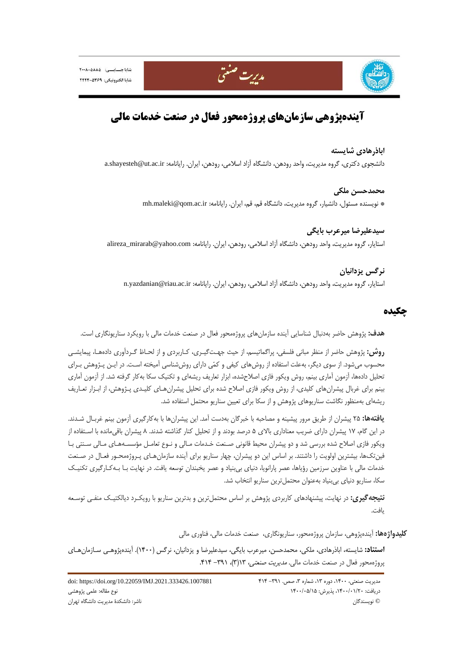

# **آيندهپژوهي سازمانهاي پروژهمحور فعال در صنعت خدمات مالي**

مدريت صنعتي

## **اباذرهادي شايسته**

دانشجوي دكتري، گروه مديريت، واحد رودهن، دانشگاه آزاد اسلامي، رودهن، ايران. رايانامه: a.shayesteh@ut.ac.ir

**محمدحسن ملكي** 

\* نويسنده مسئول، دانشيار، گروه مديريت، دانشگاه قم، قم، ايران. رايانامه: ir.ac.qom@maleki.mh

**سيدعليرضا ميرعرب بايگي**  استايار، گروه مديريت، واحد رودهن، دانشگاه آزاد اسلامي، رودهن، ايران. رايانامه: com.yahoo@mirarab\_alireza

## **نرگس يزدانيان**

استايار، گروه مديريت، واحد رودهن، دانشگاه آزاد اسلامي، رودهن، ايران. رايانامه: n.yazdanian@riau.ac.ir

## **چكيده**

**هدف:** پژوهش حاضر بهدنبال شناسايي آينده سازمانهاي پروژهمحور فعال در صنعت خدمات مالي با رويكرد سناريونگاري است.

**روش:** پژوهش حاضر از منظر مباني فلسفي، پراگماتيسم، از حيث جهـتگيـري، كـاربردي و از لحـاظ گـردآوري دادههـا، پيمايشـي محسوب ميشود. از سوي ديگر، بهعلت استفاده از روشهاي كيفي و كمي داراي روششناسي آميخته اسـت. در ايـن پـژوهش بـراي تحليل دادهها، آزمون آماري بينم، روش ويكور فازي اصلاحشده، ابزار تعاريف ريشهاي و تكنيك سكا بهكار گرفته شد. از آزمون آماري بينم براي غربال پيشرانهاي كليدي، از روش ويكور فازي اصلاح شده براي تحليل پيشرانهـاي كليـدي پـژوهش، از ابـزار تعـاريف ريشهاي بهمنظور نگاشت سناريوهاي پژوهش و از سكا براي تعيين سناريو محتمل استفاده شد.

**يافتهها:** 25 پيشران از طريق مرور پيشينه و مصاحبه با خبرگان بهدست آمد. اين پيشرانها با بهكارگيري آزمون بينم غربـال شـدند. در اين گام، 17 پيشران داراي ضريب معناداري بالاي 5 درصد بودند و از تحليل كنار گذاشته شدند. 8 پيشران باقيمانده با اسـتفاده از ويكور فازي اصلاح شده بررسي شد و دو پيشران محيط قانوني صـنعت خـدمات مـالي و نـوع تعامـل مؤسسـههـاي مـالي سـنتي بـا فينتكها، بيشترين اولويت را داشتند. بر اساس اين دو پيشران، چهار سناريو براي آينده سازمانهـاي پـروژهمحـور فعـال در صـنعت خدمات مالي با عناوين سرزمين رؤياها، عصر پارانويا، دنياي بي بنياد و عصر يخبندان توسعه يافت. در نهايت بـا بـه كـارگيري تكنيـك سكا، سناريو دنياي بيبنياد بهعنوان محتملترين سناريو انتخاب شد.

**نتيجهگيري:** در نهايت، پيشنهادهاي كاربردي پژوهش بر اساس محتملترين و بدترين سناريو با رويكـرد ديالكتيـك منفـي توسـعه يافت.

**كليدواژهها:** آيندهپژوهي، سازمان پروژهمحور، سناريونگاري، صنعت خدمات مالي، فناوري مالي

**استناد:** شايسته، اباذرهادي، ملكي، محمدحسن، ميرعرب بايگي، سيدعليرضا و يزدانيان، نرگس (1400). آيندهپژوهـي سـازمانهـاي پروژهمحور فعال در صنعت خدمات مالي. *مديريت صنعتي،* ١٣(٣)، ٣٩١- ٣١٤.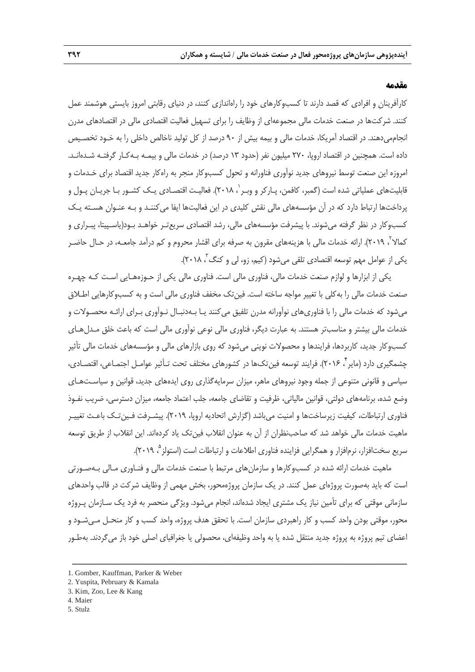## **مقدمه**

كارآفرينان و افرادي كه قصد دارند تا كسبوكارهاي خود را راهاندازي كنند، در دنياي رقابتي امروز بايستي هوشمند عمل كنند. شركتها در صنعت خدمات مالي مجموعهاي از وظايف را براي تسهيل فعاليت اقتصادي مالي در اقتصادهاي مدرن انجاممي دهند. در اقتصاد آمريكا، خدمات مالي و بيمه بيش از ٩٠ درصد از كل توليد ناخالص داخلي را به خـود تخصـيص داده است. همچنين در اقتصاد اروپا، 270 ميليون نفر (حدود 13 درصد) در خدمات مالي و بيمـه بـهكـار گرفتـه شـدهانـد. امروزه اين صنعت توسط نيروهاي جديد نوآوري فناورانه و تحول كسبوكار منجر به راهكار جديد اقتصاد براي خـدمات و قابليتهاي عملياتي شده است (گمبر، كافمن، پـاركر و وبـر`، ٢٠١٨). فعاليـت اقتصـادي يـك كشـور بـا جريـان پـول و پرداختها ارتباط دارد كه در آن مؤسسههاي مالي نقش كليدي در اين فعاليتها ايفا مي كننـد و بـه عنـوان هسـته يـك كسبوكار در نظر گرفته ميشوند. با پيشرفت مؤسسههاي مالي، رشد اقتصادي سريعتـر خواهـد بـود(ياسـپيتا، پبـراري و كمالا"، ٢٠١٩). ارائه خدمات مالي با هزينههاي مقرون به صرفه براي اقشار محروم و كم درآمد جامعـه، در حـال حاضـر ، 2018). <sup>3</sup> يكي از عوامل مهم توسعه اقتصادي تلقي ميشود (كيم، زو، لي و كنگ

يكي از ابزارها و لوازم صنعت خدمات مالي، فناوري مالي است. فناوري مالي يكي از حـوزههـايي اسـت كـه چهـره صنعت خدمات مالي را بهكلي با تغيير مواجه ساخته است. فينتك مخفف فناوري مالي است و به كسبوكارهايي اطـلاق ميشود كه خدمات مالي را با فناوريهاي نوآورانه مدرن تلفيق ميكنند يـا بـهدنبـال نـوآوري بـراي ارائـه محصـولات و خدمات مالي بيشتر و مناسبتر هستند. به عبارت ديگر، فناوري مالي نوعي نوآوري مالي است كه باعث خلق مـدلهـاي كسبوكار جديد، كاربردها، فرايندها و محصولات نويني ميشود كه روي بازارهاي مالي و مؤسسههاي خدمات مالي تأثير چشمگيري دارد (ماير ، ۲۰۱۶). فرايند توسعه فين تک\ه در كشورهاي مختلف تحت تـأثير عوامـل اجتمـاعي، اقتصـادي، سياسي و قانوني متنوعي از جمله وجود نيروهاي ماهر، ميزان سرمايهگذاري روي ايدههاي جديد، قوانين و سياسـتهـاي وضع شده، برنامههاي دولتي، قوانين مالياتي، ظرفيت و تقاضاي جامعه، جلب اعتماد جامعه، ميزان دسترسي، ضريب نفـوذ فناوري ارتباطات، كيفيت زيرساختها و امنيت ميباشد (گزارش اتحاديه اروپا، 2019). پيشـرفت فـينتـك باعـث تغييـر ماهيت خدمات مالي خواهد شد كه صاحبنظران از آن به عنوان انقلاب فينتك ياد كردهاند. اين انقلاب از طريق توسعه سريع سختافزار، نرمافزار و همگرايي فزاينده فناوري اطلاعات و ارتباطات است (استولز <sup>۵</sup> ۲۰۱۹).

ماهيت خدمات ارائه شده در كسبوكارها و سازمانهاي مرتبط با صنعت خدمات مالي و فنـاوري مـالي بـهصـورتي است كه بايد بهصورت پروژهاي عمل كنند. در يك سازمان پروژهمحور، بخش مهمي از وظايف شركت در قالب واحدهاي سازماني موقتي كه براي تأمين نياز يك مشتري ايجاد شدهاند، انجام ميشود. ويژگي منحصر به فرد يك سـازمان پـروژه محور، موقتي بودن واحد كسب و كار راهبردي سازمان است. با تحقق هدف پروژه، واحد كسب و كار منحـل مـيشـود و اعضاي تيم پروژه به پروژه جديد منتقل شده يا به واحد وظيفهاي، محصولي يا جغرافياي اصلي خود باز ميگردند. بهطـور

- 4. Maier
- 5. Stulz

<sup>1.</sup> Gomber, Kauffman, Parker & Weber

<sup>2.</sup> Yuspita, Pebruary & Kamala

<sup>3.</sup> Kim, Zoo, Lee & Kang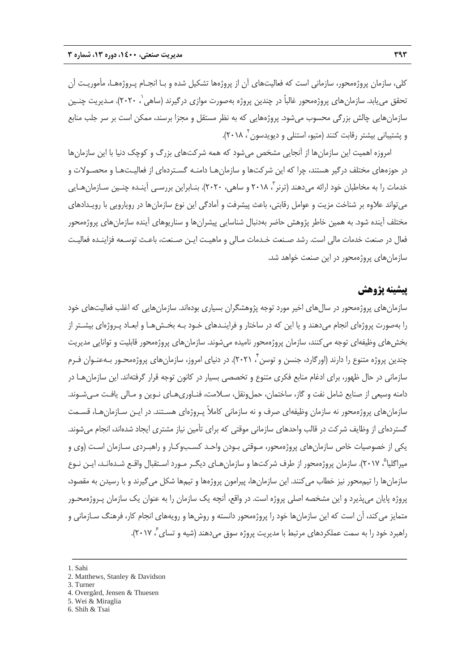كلي، سازمان پروژهمحور، سازماني است كه فعاليتهاي آن از پروژهها تشكيل شده و بـا انجـام پـروژههـا، مأموريـت آن نحقق می<code>يابد</code>. سازمانِهای پروژهمحور غالباً در چندين پروژه بهصورت موازی درگيرند (ساهی`، ۲۰۲۰). مـديريت چنـين سازمانهايي چالش بزرگي محسوب ميشود. پروژههايي كه به نظر مستقل و مجزا برسند، ممكن است بر سر جلب منابع و پشتيباني بيشتر رقابت كنند (متيو، استنلي و ديويدسون <sup>۲</sup> ۲۰۱۸).

امروزه اهميت اين سازمانها از آنجايي مشخص ميشود كه همه شركتهاي بزرگ و كوچك دنيا با اين سازمانها در حوزههاي مختلف درگير هستند، چرا كه اين شركتها و سازمانهـا دامنـه گسـتردهاي از فعاليـتهـا و محصـولات و خدمات ,ا به مخاطبان خود ارائه مے ردهند (ترنر <sup>7</sup> ۲۰۱۸ و ساهے ،، ۲۰۲۰). بنـابراين بررسـي آينـده چنـين سـازمان *ه*ـايي ميتواند علاوه بر شناخت مزيت و عوامل رقابتي، باعث پيشرفت و آمادگي اين نوع سازمانها در رويارويي با رويـدادهاي مختلف آينده شود. به همين خاطر پژوهش حاضر بهدنبال شناسايي پيشرانها و سناريوهاي آينده سازمانهاي پروژهمحور فعال در صنعت خدمات مالي است. رشد صـنعت خـدمات مـالي و ماهيـت ايـن صـنعت، باعـث توسـعه فزاينـده فعاليـت سازمانهاي پروژهمحور در اين صنعت خواهد شد.

## **پيشينه پژوهش**

سازمانهاي پروژهمحور در سالهاي اخير مورد توجه پژوهشگران بسياري بودهاند. سازمانهايي كه اغلب فعاليتهاي خود را بهصورت پروژهاي انجام ميدهند و يا اين كه در ساختار و فراينـدهاي خـود بـه بخـشهـا و ابعـاد پـروژهاي بيشـتر از بخشهاي وظيفهاي توجه ميكنند، سازمان پروژهمحور ناميده ميشوند. سازمانهاي پروژهمحور قابليت و توانايي مديريت چندين پروژه متنوع را دارند (اورگارد، جنسن و توسن ٔ ، ۲۰۲۱). در دنياى امروز، سازمانهاى پروژهمحـور بـهعنـوان فـرم سازماني در حال ظهور، براي ادغام منابع فكري متنوع و تخصصي بسيار در كانون توجه قرار گرفتهاند. اين سازمانهـا در دامنه وسيعي از صنايع شامل نفت و گاز، ساختمان، حملءنقل، سـلامت، فنـاوري هـاي نـوين و مـالي يافـت مـي شـوند. سازمانهاي پروژهمحور نه سازمان وظيفهاي صرف و نه سازماني كاملاً پـروژهاي هسـتند. در ايـن سـازمانهـا، قسـمت گستردهاي از وظايف شركت در قالب واحدهاي سازماني موقتي كه براي تأمين نياز مشتري ايجاد شدهاند، انجام ميشوند. يكي از خصوصيات خاص سازمانهاي پروژهمحور، مـوقتي بـودن واحـد كسـبوكـار و راهبـردي سـازمان اسـت (وي و ميراگليا<sup>م</sup>، ٢٠١٧). سازمان پروژهمحور از طرف شركتها و سازمانهـاي ديگـر مـورد اسـتقبال واقـع شـدهانـد، ايـن نـوع سازمانها را تيممحور نيز خطاب ميكنند. اين سازمانها، پيرامون پروژهها و تيمها شكل ميگيرند و با رسيدن به مقصود، پروژه پايان ميپذيرد و اين مشخصه اصلي پروژه است. در واقع، آنچه يك سازمان را به عنوان يك سازمان پـروژهمحـور متمايز مي كند، آن است كه اين سازمانها خود را پروژهمحور دانسته و روش ها و رويههاي انجام كار، فرهنگ سـازماني و راهبرد خود را به سمت عملكردهاي مرتبط با مديريت پروژه سوق مي،دهند (شيه و تساي ً، ٢٠١٧).

- 4. Overgård, Jensen & Thuesen
- 5. Wei & Miraglia
- 6. Shih & Tsai

<sup>1.</sup> Sahi

<sup>2.</sup> Matthews, Stanley & Davidson

<sup>3.</sup> Turner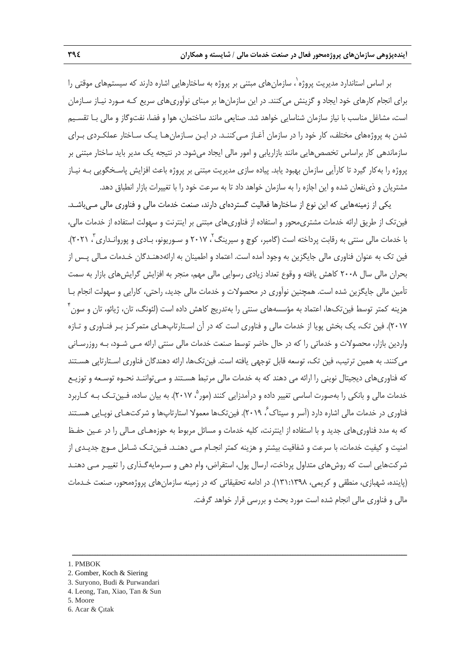بر اساس استاندارد مديريت پروژه`، سازمانهاي مبتني بر پروژه به ساختارهايي اشاره دارند كه سيستمهاي موقتي را براي انجام كارهاي خود ايجاد و گزينش ميكنند. در اين سازمانها بر مبناي نوآوريهاي سريع كـه مـورد نيـاز سـازمان است، مشاغل مناسب با نياز سازمان شناسايي خواهد شد. صنايعي مانند ساختمان، هوا و فضا، نفتوگاز و مالي بـا تقسـيم شدن به پروژههاي مختلف، كار خود را در سازمان آغـاز مـيكننـد. در ايـن سـازمانهـا يـك سـاختار عملكـردي بـراي سازماندهي كار براساس تخصصهايي مانند بازاريابي و امور مالي ايجاد ميشود. در نتيجه يك مدير بايد ساختار مبتني بر پروژه را بهكار گيرد تا كارآيي سازمان بهبود يابد. پياده سازي مديريت مبتني بر پروژه باعث افزايش پاسـخگويي بـه نيـاز مشتريان و ذينفعان شده و اين اجازه را به سازمان خواهد داد تا به سرعت خود را با تغييرات بازار انطباق دهد.

يكي از زمينههايي كه اين نوع از ساختارها فعاليت گستردهاي دارند، صنعت خدمات مالي و فناوري مالي مـيباشـد. فينتك از طريق ارائه خدمات مشتريمحور و استفاده از فناوريهاي مبتني بر اينترنت و سهولت استفاده از خدمات مالي، با خدمات مالي سنتي به رقابت پرداخته است (گامبر، كوچ و سيرينگ ، ٢٠١٧ و سـوريونو، بـادي و پوروانـداري ، ٢٠٢١). فين تك به عنوان فناوري مالي جايگزين به وجود آمده است. اعتماد و اطمينان به ارائهدهنـدگان خـدمات مـالي پـس از بحران مالي سال 2008 كاهش يافته و وقوع تعداد زيادي رسوايي مالي مهم، منجر به افزايش گرايشهاي بازار به سمت تأمين مالي جايگزين شده است. همچنين نوآوري در محصولات و خدمات مالي جديد، راحتي، كارايي و سهولت انجام بـا هزينه كمتر توسط فينتكها، اعتماد به مؤسسههاي سنتي را بهتدريج كاهش داده است (لئونگ، تان، ژيائو، تان و سون 4 2017). فين تك، يك بخش پويا از خدمات مالي و فناوري است كه در آن اسـتارتاپهـاي متمركـز بـر فنـاوري و تـازه واردين بازار، محصولات و خدماتي را كه در حال حاضر توسط صنعت خدمات مالي سنتي ارائه مـي شـود، بـه روزرسـاني ميكنند. به همين ترتيب، فين تك، توسعه قابل توجهي يافته است. فينتكها، ارائه دهندگان فناوري اسـتارتاپي هسـتند كه فناوريهاي ديجيتال نويني را ارائه مي دهند كه به خدمات مالي مرتبط هسـتند و مـيتواننـد نحـوه توسـعه و توزيـع خدمات مالي و بانكي را بهصورت اساسي تغيير داده و درآمدزايي كنند (مور<sup>ه</sup>، ۲۰۱۷). به بيان ساده، فـين *تـ*ک بـه كـاربرد فناوری در خدمات مالی اشاره دارد (اَسر و سیتاک ً، ۲۰۱۹). فین تک@ا معمولا استارتاپها و شرکتهـای نوپـایی هسـتند كه به مدد فناوريهاي جديد و با استفاده از اينترنت، كليه خدمات و مسائل مربوط به حوزههـاي مـالي را در عـين حفـظ امنيت و كيفيت خدمات، با سرعت و شفافيت بيشتر و هزينه كمتر انجـام مـي دهنـد. فـينتـك شـامل مـوج جديـدي از شركتهايي است كه روشهاي متداول پرداخت، ارسال پول، استقراض، وام دهي و سـرمايهگـذاري را تغييـر مـي دهنـد (پاينده، شهبازي، منطقي و كريمي، 131:1398). در ادامه تحقيقاتي كه در زمينه سازمانهاي پروژهمحور، صنعت خـدمات مالي و فناوري مالي انجام شده است مورد بحث و بررسي قرار خواهد گرفت.

- 2. Gomber, Koch & Siering
- 3. Suryono, Budi & Purwandari
- 4. Leong, Tan, Xiao, Tan & Sun
- 5. Moore
- 6. Acar & Çıtak

<sup>1.</sup> PMBOK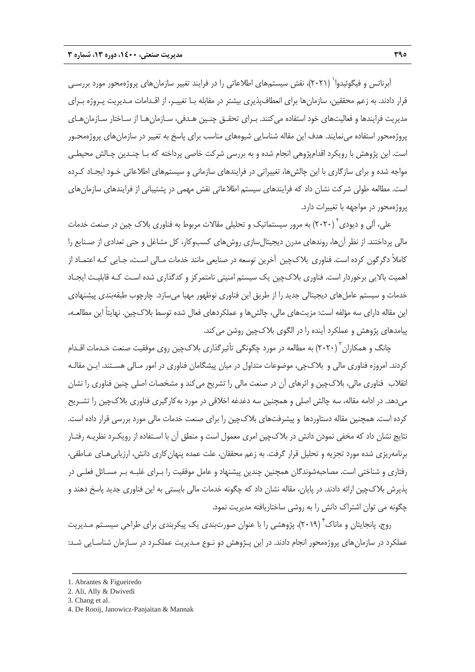<sup>ا</sup>برناتس و فيگوئيدوا` (۲۰۲۱)، نقش سيستمهاى اطلاعاتى را در فرايند تغيير سازمانهاى پروژهمحور مورد بررسـى قرار دادند. به زعم محققين، سازمانها براي انعطافپذيري بيشتر در مقابله بـا تغييـر، از اقـدامات مـديريت پـروژه بـراي مديريت فرايندها و فعاليتهاي خود استفاده ميكنند. بـراي تحقـق چنـين هـدفي، سـازمانهـا از سـاختار سـازمانهـاي پروژهمحور استفاده مينمايند. هدف اين مقاله شناسايي شيوههاي مناسب براي پاسخ به تغيير در سازمانهاي پروژهمحـور است. اين پژوهش با رويكرد اقدامپژوهي انجام شده و به بررسي شركت خاصي پرداخته كه بـا چنـدين چـالش محيطـي مواجه شده و براي سازگاري با اين چالشها، تغييراتي در فرايندهاي سازماني و سيستمهاي اطلاعاتي خـود ايجـاد كـرده است. مطالعه طولي شركت نشان داد كه فرايندهاي سيستم اطلاعاتي نقش مهمي در پشتيباني از فرايندهاي سازمانهاي پروژهمحور در مواجهه با تغييرات دارد.

علي، آلي و ديودي ۲۰۲۰) به مرور سيستماتيک و تحليلي مقالات مربوط به فناوري بلاک چين در صنعت خدمات مالي پرداختند. از نظر آنها، روندهاي مدرن ديجيتالسازي روشهاي كسبوكار، كل مشاغل و حتي تعدادي از صـنايع را كاملاً دگرگون كرده است. فناوري بلاكچين آخرين توسعه در صنايعي مانند خدمات مـالي اسـت، جـايي كـه اعتمـاد از اهميت بالايي برخوردار است. فناوري بلاكچين يك سيستم امنيتي نامتمركز و كدگذاري شده اسـت كـه قابليـت ايجـاد خدمات و سيستم عامل هاي ديجيتالي جديد را از طريق اين فناوري نوظهور مهيا مي سازد. چارچوب طبقهبندي پيشنهادي اين مقاله داراي سه مؤلفه است: مزيتهاي مالي، چالشها و عملكردهاي فعال شده توسط بلاكچين. نهايتاً اين مطالعـه، پيامدهاي پژوهش و عملكرد آينده را در الگوي بلاكچين روشن ميكند.

چانگ و همكاران <sup>۳</sup> (۲۰۲۰) به مطالعه در مورد چگونگي تأثيرگذاري بلاكچين روي موفقيت صنعت خـدمات اقـدام كردند. امروزه فناوري مالي و بلاكچي، موضوعات متداول در ميان پيشگامان فناوري در امور مـالي هسـتند. ايـن مقالـه انقلاب فناوري مالي، بلاكچين و اثرهاي آن در صنعت مالي را تشريح ميكند و مشخصات اصلي چنين فناوري را نشان ميدهد. در ادامه مقاله، سه چالش اصلي و همچنين سه دغدغه اخلاقي در مورد بهكارگيري فناوري بلاكچين را تشـريح كرده است. همچنين مقاله دستاوردها و پيشرفتهاي بلاكچين را براي صنعت خدمات مالي مورد بررسي قرار داده است. نتايج نشان داد كه مخفي نمودن دانش در بلاكچين امري معمول است و منطق آن با اسـتفاده از رويكـرد نظريـه رفتـار برنامهريزي شده مورد تجزيه و تحليل قرار گرفت. به زعم محققان، علت عمده پنهانكاري دانش، ارزيابيهـاي عـاطفي، رفتاري و شناختي است. مصاحبهشوندگان همچنين چندين پيشنهاد و عامل موفقيت را بـراي غلبـه بـر مسـائل فعلـي در پذيرش بلاكچين ارائه دادند. در پايان، مقاله نشان داد كه چگونه خدمات مالي بايستي به اين فناوري جديد پاسخ دهند و چگونه مي توان اشتراك دانش را به روشي ساختاريافته مديريت نمود.

روج، پانجايتان و ماناک<sup>۴</sup> (۲۰۱۹)، پژوهشی را با عنوان صورتبندی یک پیکربندی برای طراحی سیسـتم مـدیریت عملكرد در سازمانهاي پروژهمحور انجام دادند. در اين پـژوهش دو نـوع مـديريت عملكـرد در سـازمان شناسـايي شـد:

<sup>1.</sup> Abrantes & Figueiredo

<sup>2.</sup> Ali, Ally & Dwivedi

<sup>3.</sup> Chang et al.

<sup>4.</sup> De Rooij, Janowicz-Panjaitan & Mannak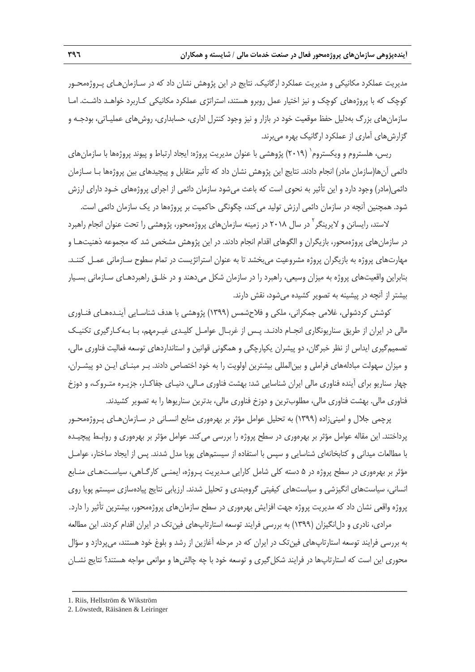مديريت عملكرد مكانيكي و مديريت عملكرد ارگانيك. نتايج در اين پژوهش نشان داد كه در سـازمانهـاي پـروژهمحـور كوچك كه با پروژههاي كوچك و نيز اختيار عمل روبرو هستند، استراتژي عملكرد مكانيكي كـاربرد خواهـد داشـت. امـا سازمانهاي بزرگ بهدليل حفظ موقعيت خود در بازار و نيز وجود كنترل اداري، حسابداري، روشهاي عمليـاتي، بودجـه و گزارش هاي آماري از عملكرد ارگانيك بهره ميبرند.

ريس، هلستروم و ويكستروم` (٢٠١٩) پژوهشي با عنوان مديريت پروژه: ايجاد ارتباط و پيوند پروژهها با سازمانهاي دائمي آنها(سازمان مادر) انجام دادند. نتايج اين پژوهش نشان داد كه تأثير متقابل و پيچيدهاي بين پروژهها بـا سـازمان دائمي(مادر) وجود دارد و اين تأثير به نحوي است كه باعث ميشود سازمان دائمي از اجراي پروژههاي خـود داراي ارزش شود. همچنين آنچه در سازمان دائمي ارزش توليد مي كند، چگونگي حاكميت بر پروژهها در يک سازمان دائمي است.

لاستد، رايسانن و لايرينگر <sup>۲</sup> در سال ۲۰۱۸ در زمينه سازمانهاي پروژهمحور، پژوهشي را تحت عنوان انجام راهبرد در سازمانهاي پروژهمحور، بازيگران و الگوهاي اقدام انجام دادند. در اين پژوهش مشخص شد كه مجموعه ذهنيتهـا و مهارتهاي پروژه به بازيگران پروژه مشروعيت ميبخشد تا به عنوان استراتژيست در تمام سطوح سـازماني عمـل كننـد. بنابراين واقعيتهاي پروژه به ميزان وسيعي، راهبرد را در سازمان شكل ميدهند و در خلـق راهبردهـاي سـازماني بسـيار بيشتر از آنچه در پيشينه به تصوير كشيده ميشود، نقش دارند.

كوشش كردشولي، غلامي جمكراني، ملكي و فلاحشمس (1399) پژوهشي با هدف شناسـايي آينـدههـاي فنـاوري مالي در ايران از طريق سناريونگاري انجـام دادنـد. پـس از غربـال عوامـل كليـدي غيـرمهم، بـا بـهكـارگيري تكنيـك تصميمگيري ايداس از نظر خبرگان، دو پيشران يكپارچگي و همگوني قوانين و استانداردهاي توسعه فعاليت فناوري مالي، و ميزان سهولت مبادلههاي فراملي و بينالمللي بيشترين اولويت را به خود اختصاص دادند. بـر مبنـاي ايـن دو پيشـران، چهار سناريو براي آينده فناوري مالي ايران شناسايي شد: بهشت فناوري مـالي، دنيـاي جفاكـار، جزيـره متـروك، و دوزخ فناوري مالي. بهشت فناوري مالي، مطلوبترين و دوزخ فناوري مالي، بدترين سناريوها را به تصوير كشيدند.

پرچمي جلال و امينيزاده (1399) به تحليل عوامل مؤثر بر بهرهوري منابع انسـاني در سـازمانهـاي پـروژهمحـور پرداختند. اين مقاله عوامل مؤثر بر بهرهوري در سطح پروژه را بررسي ميكند. عوامل مؤثر بر بهرهوري و روابـط پيچيـده با مطالعات ميداني و كتابخانهاي شناسايي و سپس با استفاده از سيستمهاي پويا مدل شدند. پس از ايجاد ساختار، عوامـل مؤثر بر بهرهوري در سطح پروژه در 5 دسته كلي شامل كارايي مـديريت پـروژه، ايمنـي كارگـاهي، سياسـتهـاي منـابع انساني، سياستهاي انگيزشي و سياستهاي كيفيتي گروهبندي و تحليل شدند. ارزيابي نتايج پيادهسازي سيستم پويا روي پروژه واقعي نشان داد كه مديريت پروژه جهت افزايش بهرهوري در سطح سازمانهاي پروژهمحور، بيشترين تأثير را دارد.

مرادي، نادري و دل|نگيزان (١٣٩٩) به بررسي فرايند توسعه استارتاپهاي فين تک در ايران اقدام كردند. اين مطالعه به بررسي فرايند توسعه استارتاپهاي فينتك در ايران كه در مرحله آغازين از رشد و بلوغ خود هستند، ميپردازد و سؤال محوري اين است كه استارتاپها در فرايند شكلگيري و توسعه خود با چه چالشها و موانعي مواجه هستند؟ نتايج نشـان

<sup>1.</sup> Riis, Hellström & Wikström

<sup>2.</sup> Löwstedt, Räisänen & Leiringer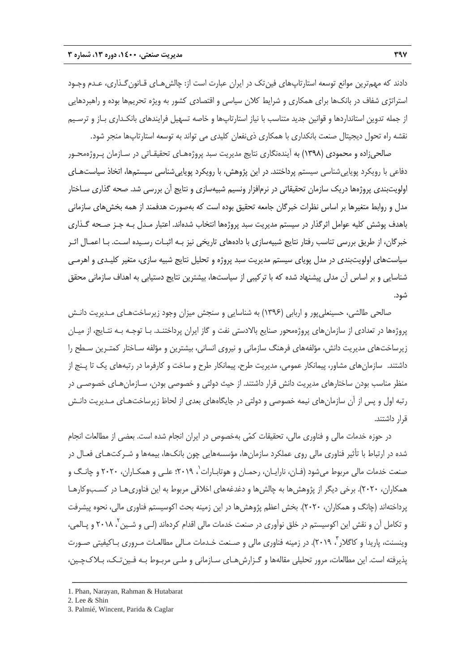دادند كه مهمترين موانع توسعه استارتاپهاي فينتك در ايران عبارت است از: چالشهـاي قـانونگـذاري، عـدم وجـود استراتژي شفاف در بانكها براي همكاري و شرايط كلان سياسي و اقتصادي كشور به ويژه تحريمها بوده و راهبردهايي از جمله تدوين استانداردها و قوانين جديد متناسب با نياز استارتاپها و خاصه تسهيل فرايندهاي بانكـداري بـاز و ترسـيم نقشه راه تحول ديجيتال صنعت بانكداري با همكاري ذينفعان كليدي مي تواند به توسعه استارتاپها منجر شود.

صالحيزاده و محمودي (1398) به آيندهنگاري نتايج مديريت سبد پروژههـاي تحقيقـاتي در سـازمان پـروژهمحـور دفاعي با رويكرد پوياييشناسي سيستم پرداختند. در اين پژوهش، با رويكرد پوياييشناسي سيستمها، اتخاذ سياستهـاي اولويتبندي پروژهها دريك سازمان تحقيقاتي در نرمافزار ونسيم شبيهسازي و نتايج آن بررسي شد. صحه گذاري سـاختار مدل و روابط متغيرها بر اساس نظرات خبرگان جامعه تحقيق بوده است كه بهصورت هدفمند از همه بخشهاي سازماني باهدف پوشش كليه عوامل اثرگذار در سيستم مديريت سبد پروژهها انتخاب شدهاند. اعتبار مـدل بـه جـز صـحه گـذاري خبرگان، از طريق بررسي تناسب رفتار نتايج شبيهسازي با دادههاي تاريخي نيز بـه اثبـات رسـيده اسـت. بـا اعمـال اثـر سياستهاي اولويتبندي در مدل پوياي سيستم مديريت سبد پروژه و تحليل نتايج شبيه سازي، متغير كليـدي و اهرمـي شناسايي و بر اساس آن مدلي پيشنهاد شده كه با تركيبي از سياستها، بيشترين نتايج دستيابي به اهداف سازماني محقق شود.

صالحي طالشي، حسينعليپور و اربابي (1396) به شناسايي و سنجش ميزان وجود زيرساختهـاي مـديريت دانـش پروژهها در تعدادي از سازمانهاي پروژهمحور صنايع بالادستي نفت و گاز ايران پرداختنـد. بـا توجـه بـه نتـايج، از ميـان زيرساختهاي مديريت دانش، مؤلفههاي فرهنگ سازماني و نيروي انساني، بيشترين و مؤلفه سـاختار كمتـرين سـطح را داشتند. سازمانهاي مشاور، پيمانكار عمومي، مديريت طرح، پيمانكار طرح و ساخت و كارفرما در رتبههاي يك تا پـنج از منظر مناسب بودن ساختارهاي مديريت دانش قرار داشتند. از حيث دولتي و خصوصي بودن، سـازمانهـاي خصوصـي در رتبه اول و پس از آن سازمانهاي نيمه خصوصي و دولتي در جايگاههاي بعدي از لحاظ زيرساختهـاي مـديريت دانـش قرار داشتند.

در حوزه خدمات مالي و فناوري مالي، تحقيقات كمي بهخصوص در ايران انجام شده است. بعضي از مطالعات انجام شده در ارتباط با تأثير فناوري مالي روي عملكرد سازمانها، مؤسسههايي چون بانكها، بيمهها و شـركتهـاي فعـال در صنعت خدمات مالی مربوط میشود (فـان، نارايـان، رحمـان و هوتابـارات ٰ، ٢٠١٩؛ علـی و همكـاران، ٢٠٢٠ و چانـگ و همكاران، ٢٠٢٠). برخي ديگر از پژوهش ها به چالش ها و دغدغههاي اخلاقي مربوط به اين فناوري هـا در كسـبوكارهـا پرداختهاند (چانگ و همكاران، 2020). بخش اعظم پژوهشها در اين زمينه بحث اكوسيستم فناوري مالي، نحوه پيشرفت و تكامل آن و نقش اين اكوسيستم در خلق نوآوري در صنعت خدمات مالي اقدام كردهاند (لـي و شـين ، 2018 و پـالمي، <sup>2</sup> وينسنت، پاريدا و كاگلار <sup>۳</sup>، ۲۰۱۹). در زمينه فناورى مالي و صـنعت خـدمات مـالي مطالعـات مـرورى بـاكيفيتي صـورت پذيرفته است. اين مطالعات، مرور تحليلي مقالهها و گـزارشهـاي سـازماني و ملـي مربـوط بـه فـينتـك، بـلاكچـين،

ــــــــــــــــــــــــــــــــــــــــــــــــــــــــــــــــــــــــــــــــــــــــــــــــــــــــــــــــــــــــــــــــــــ

 $2.$  Lee  $&$  Shin

<sup>1.</sup> Phan, Narayan, Rahman & Hutabarat

<sup>3.</sup> Palmié, Wincent, Parida & Caglar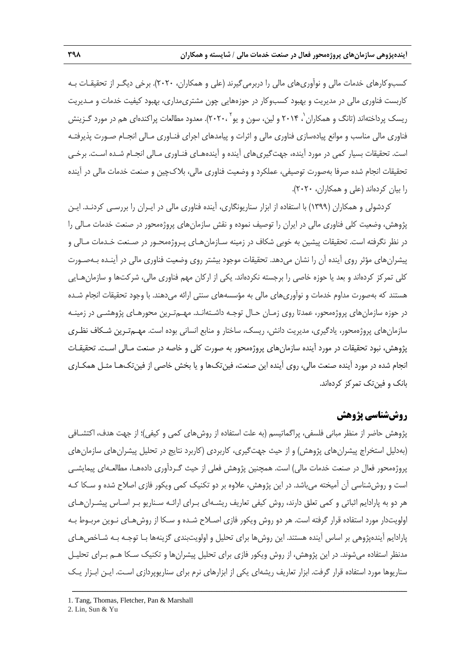كسبوكارهاي خدمات مالي و نوآوريهاي مالي را دربرميگيرند (علي و همكاران، 2020). برخي ديگـر از تحقيقـات بـه كاربست فناوري مالي در مديريت و بهبود كسبوكار در حوزههايي چون مشتريمداري، بهبود كيفيت خدمات و مـديريت ریسک پرداختهاند (تانگ و همکاران <sup>٬</sup>، ۲۰۱۴ و لین، سون و یو ۲۰۲۰٬<sup>۲</sup>). معدود مطالعات پراکندهای هم در مورد گـزینش فناوري مالي مناسب و موانع پيادهسازي فناوري مالي و اثرات و پيامدهاي اجراي فنـاوري مـالي انجـام صـورت پذيرفتـه است. تحقيقات بسيار كمي در مورد آينده، جهتگيريهاي آينده و آيندههـاي فنـاوري مـالي انجـام شـده اسـت. برخـي تحقيقات انجام شده صرفا بهصورت توصيفي، عملكرد و وضعيت فناوري مالي، بلاكچين و صنعت خدمات مالي در آينده را بيان كردهاند (علي و همكاران، 2020).

كردشولي و همكاران (1399) با استفاده از ابزار سناريونگاري، آينده فناوري مالي در ايـران را بررسـي كردنـد. ايـن پژوهش، وضعيت كلي فناوري مالي در ايران را توصيف نموده و نقش سازمانهاي پروژهمحور در صنعت خدمات مـالي را در نظر نگرفته است. تحقيقات پيشين به خوبي شكاف در زمينه سـازمانهـاي پـروژهمحـور در صـنعت خـدمات مـالي و پيشرانهاي مؤثر روي آينده آن را نشان ميدهد. تحقيقات موجود بيشتر روي وضعيت فناوري مالي در آينـده بـهصـورت كلي تمركز كردهاند و بعد يا حوزه خاصي را برجسته نكردهاند. يكي از اركان مهم فناوري مالي، شركتها و سازمانهـايي هستند كه بهصورت مداوم خدمات و نوآوريهاي مالي به مؤسسههاي سنتي ارائه ميدهند. با وجود تحقيقات انجام شـده در حوزه سازمانهاي پروژهمحور، عمدتا روي زمـان حـال توجـه داشـتهانـد. مهـمتـرين محورهـاي پژوهشـي در زمينـه سازمانهاي پروژهمحور، يادگيري، مديريت دانش، ريسك، ساختار و منابع انساني بوده است. مهـمتـرين شـكاف نظـري پژوهش، نبود تحقيقات در مورد آينده سازمانهاي پروژهمحور به صورت كلي و خاصه در صنعت مـالي اسـت. تحقيقـات انجام شده در مورد آينده صنعت مالي، روي آينده اين صنعت، فينتكها و يا بخش خاصي از فينتكهـا مثـل همكـاري بانك و فينتك تمركز كردهاند.

## **روششناسي پژوهش**

پژوهش حاضر از منظر مباني فلسفي، پراگماتيسم (به علت استفاده از روشهاي كمي و كيفي)؛ از جهت هدف، اكتشـافي (بهدليل استخراج پيشرانهاي پژوهش) و از حيث جهتگيري، كاربردي (كاربرد نتايج در تحليل پيشرانهاي سازمانهاي پروژهمحور فعال در صنعت خدمات مالي) است. همچنين پژوهش فعلي از حيث گـردآوري دادههـا، مطالعـهاي پيمايشـي است و روششناسي آن آميخته ميباشد. در اين پژوهش، علاوه بر دو تكنيك كمي ويكور فازي اصلاح شده و سـكا كـه هر دو به پارادايم اثباتي و كمي تعلق دارند، روش كيفي تعاريف ريشـهاي بـراي ارائـه سـناريو بـر اسـاس پيشـرانهـاي اولويتدار مورد استفاده قرار گرفته است. هر دو روش ويكور فازي اصـلاح شـده و سـكا از روشهـاي نـوين مربـوط بـه پارادايم آيندهپژوهي بر اساس آينده هستند. اين روشها براي تحليل و اولويتبندي گزينهها بـا توجـه بـه شـاخصهـاي مدنظر استفاده ميشوند. در اين پژوهش، از روش ويكور فازي براي تحليل پيشرانها و تكنيك سـكا هـم بـراي تحليـل سناريوها مورد استفاده قرار گرفت. ابزار تعاريف ريشهاي يكي از ابزارهاي نرم براي سناريوپردازي اسـت. ايـن ابـزار يـك

<sup>1.</sup> Tang, Thomas, Fletcher, Pan & Marshall

<sup>2.</sup> Lin, Sun & Yu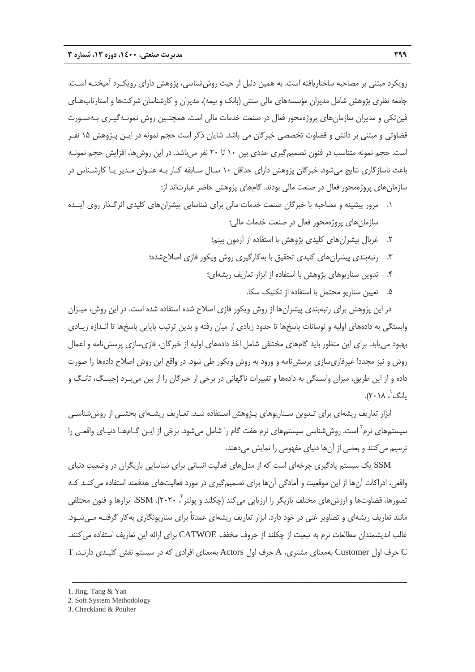رويكرد مبتني بر مصاحبه ساختاريافته است. به همين دليل از حيث روششناسي، پژوهش داراي رويكـرد آميختـه اسـت. جامعه نظري پژوهش شامل مديران مؤسسههاي مالي سنتي (بانك و بيمه)، مديران و كارشناسان شركتها و استارتاپهـاي فينتكي و مديران سازمانهاي پروژهمحور فعال در صنعت خدمات مالي است. همچنـين روش نمونـهگيـري بـهصـورت قضاوتي و مبتني بر دانش و قضاوت تخصصي خبرگان مي باشد. شايان ذكر است حجم نمونه در ايـن پـژوهش 15 نفـر است. حجم نمونه متناسب در فنون تصميمگيري عددي بين 10 تا 20 نفر ميباشد. در اين روشها، افزايش حجم نمونـه باعث ناسازگاري نتايج ميشود. خبرگان پژوهش داراي حداقل 10 سـال سـابقه كـار بـه عنـوان مـدير يـا كارشـناس در سازمانهاي پروژهمحور فعال در صنعت مالي بودند. گامهاي پژوهش حاضر عبارتاند از:

- .1 مرور پيشينه و مصاحبه با خبرگان صنعت خدمات مالي براي شناسايي پيشرانهاي كليدي اثرگـذار روي آينـده سازمانهاي پروژهمحور فعال در صنعت خدمات مالي؛
	- .2 غربال پيشرانهاي كليدي پژوهش با استفاده از آزمون بينم؛
	- .3 رتبهبندي پيشرانهاي كليدي تحقيق با بهكارگيري روش ويكور فازي اصلاحشده؛
		- .4 تدوين سناريوهاي پژوهش با استفاده از ابزار تعاريف ريشهاي؛
			- .5 تعيين سناريو محتمل با استفاده از تكنيك سكا.

در اين پژوهش براي رتبهبندي پيشرانها از روش ويكور فازي اصلاح شده استفاده شده است. در اين روش، ميـزان وابستگي به دادههاي اوليه و نوسانات پاسخها تا حدود زيادي از ميان رفته و بدين ترتيب پايايي پاسخها تا انـدازه زيـادي بهبود مييابد. براي اين منظور بايد گامهاي مختلفي شامل اخذ دادههاي اوليه از خبرگان، فازيسازي پرسشنامه و اعمال روش و نيز مجددا غيرفازيسازي پرسشنامه و ورود به روش ويكور طي شود. در واقع اين روش اصلاح دادهها را صورت داده و از اين طريق، ميزان وابستگي به دادهها و تغييرات ناگهاني در برخي از خبرگان را از بين ميبـرد (جينـگ، تانـگ و يانگ ٰ، ۲۰۱۸).

ابزار تعاريف ريشهاي براي تـدوين سـناريوهاي پـژوهش اسـتفاده شـد. تعـاريف ريشـهاي بخشـي از روششناسـي سيستمهاي نرم<sup>۲</sup> است. روششناسي سيستمهاي نرم هفت گام را شامل ميشود. برخي از ايـن گــامهـا دنيـاي واقعـي را ترسيم ميكنند و بعضي از آنها دنياي مفهومي را نمايش ميدهند.

SSM يك سيستم يادگيري چرخهاي است كه از مدلهاي فعاليت انساني براي شناسايي بازيگران در وضعيت دنياي واقعي، ادراكات آنها از اين موقعيت و آمادگي آنها براي تصميمگيري در مورد فعاليتهاي هدفمند استفاده ميكنـد كـه تصورها، قضاوتها و ارزشهای مختلف بازیگر را ارزیابی می کند (چکلند و پولتر <sup>۲</sup>، ۲۰۲۰). SSM، ابزارها و فنون مختلفی مانند تعاريف ريشهاي و تصاوير غني در خود دارد. ابزار تعاريف ريشهاي عمدتاً براي سناريونگاري بهكار گرفتـه مـيشـود. غالب انديشمندان مطالعات نرم به تبعيت از چكلند از حروف مخفف CATWOE براي ارائه اين تعاريف استفاده ميكنند. C حرف اول Customer بهمعناي مشتري، A حرف اول Actors بهمعناي افرادي كه در سيستم نقش كليـدي دارنـد، T

- 1. Jing, Tang & Yan
- 2. Soft System Methodology
- 3. Checkland & Poulter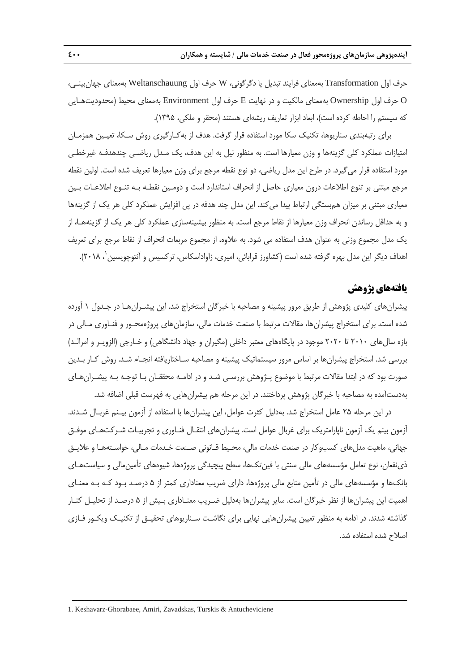حرف اول Transformation بهمعناي فرايند تبديل يا دگرگوني، W حرف اول Weltanschauung بهمعناي جهانبينـي، O حرف اول Ownership بهمعناي مالكيت و در نهايت E حرف اول Environment بهمعناي محيط (محدوديتهـايي كه سيستم را احاطه كرده است)، ابعاد ابزار تعاريف ريشهاي هستند (محقر و ملكي، 1395).

براي رتبهبندي سناريوها، تكنيك سكا مورد استفاده قرار گرفت. هدف از بهكـارگيري روش سـكا، تعيـين همزمـان امتيازات عملكرد كلي گزينهها و وزن معيارها است. به منظور نيل به اين هدف، يك مـدل رياضـي چندهدفـه غيرخطـي مورد استفاده قرار ميگيرد. در طرح اين مدل رياضي، دو نوع نقطه مرجع براي وزن معيارها تعريف شده است. اولين نقطه مرجع مبتني بر تنوع اطلاعات درون معياري حاصل از انحراف استاندارد است و دومـين نقطـه بـه تنـوع اطلاعـات بـين معياري مبتني بر ميزان همبستگي ارتباط پيدا ميكند. اين مدل چند هدفه در پي افزايش عملكرد كلي هر يك از گزينهها و به حداقل رساندن انحراف وزن معيارها از نقاط مرجع است. به منظور بيشينهسازي عملكرد كلي هر يك از گزينههـا، از يك مدل مجموع وزني به عنوان هدف استفاده مي شود. به علاوه، از مجموع مربعات انحراف از نقاط مرجع براي تعريف اهداف ديگر اين مدل بهره گرفته شده است (كشاورز قرابائي، اميري، زاواداسكاس، تركسيس و آنتوچويسين `، ٢٠١٨).

## **يافتههاي پژوهش**

پيشرانهاي كليدي پژوهش از طريق مرور پيشينه و مصاحبه با خبرگان استخراج شد. اين پيشـرانهـا در جـدول 1 آورده شده است. براي استخراج پيشرانها، مقالات مرتبط با صنعت خدمات مالي، سازمانهاي پروژهمحـور و فنـاوري مـالي در بازه سالهاي 2010 تا 2020 موجود در پايگاههاي معتبر داخلي (مگيران و جهاد دانشگاهي) و خـارجي (الزويـر و امرالـد) بررسي شد. استخراج پيشرانها بر اساس مرور سيستماتيك پيشينه و مصاحبه سـاختاريافته انجـام شـد. روش كـار بـدين صورت بود كه در ابتدا مقالات مرتبط با موضوع پـژوهش بررسـي شـد و در ادامـه محققـان بـا توجـه بـه پيشـرانهـاي بهدستآمده به مصاحبه با خبرگان پژوهش پرداختند. در اين مرحله هم پيشرانهايي به فهرست قبلي اضافه شد.

در اين مرحله 25 عامل استخراج شد. بهدليل كثرت عوامل، اين پيشرانها با استفاده از آزمون بيـنم غربـال شـدند. آزمون بينم يك آزمون ناپارامتريك براي غربال عوامل است. پيشرانهاي انتقـال فنـاوري و تجربيـات شـركتهـاي موفـق جهاني، ماهيت مدلهاي كسبوكار در صنعت خدمات مالي، محـيط قـانوني صـنعت خـدمات مـالي، خواسـتههـا و علايـق ذينفعان، نوع تعامل مؤسسههاي مالي سنتي با فينتكها، سطح پيچيدگي پروژهها، شيوههاي تأمينمالي و سياستهـاي بانكها و مؤسسههاي مالي در تأمين منابع مالي پروژهها، داراي ضريب معناداري كمتر از 5 درصـد بـود كـه بـه معنـاي اهميت اين پيشرانها از نظر خبرگان است. ساير پيشرانها بهدليل ضـريب معنـاداري بـيش از 5 درصـد از تحليـل كنـار گذاشته شدند. در ادامه به منظور تعيين پيشرانهايي نهايي براي نگاشـت سـناريوهاي تحقيـق از تكنيـك ويكـور فـازي اصلاح شده استفاده شد.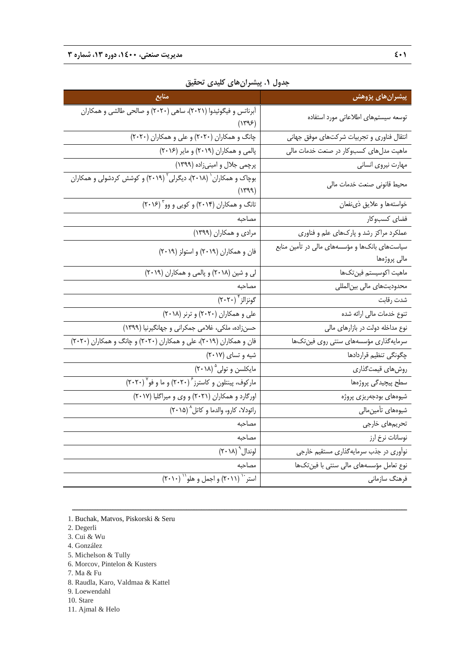| منابع                                                                                  | پیشرانهای پژوهش                                                |
|----------------------------------------------------------------------------------------|----------------------------------------------------------------|
| آبرناتس و فیگوئیدوا (۲۰۲۱)، ساهی (۲۰۲۰) و صالحی طالشی و همکاران<br>(1495)              | توسعه سيستمهاى اطلاعاتى مورد استفاده                           |
| چانگ و همکاران (٢٠٢٠) و علي و همکاران (٢٠٢٠)                                           | انتقال فناوري وتجربيات شركتهاى موفق جهاني                      |
| پالمی و همکاران (۲۰۱۹) و مایر (۲۰۱۶)                                                   | ماهیت مدل های کسبوکار در صنعت خدمات مالی                       |
| پرچمی جلال و امینیزاده (١٣٩٩)                                                          | مهارت نيروى انسانى                                             |
| بوچاک و همکاران` (۲۰۱۸)، دیگرلی <sup>۲</sup> (۲۰۱۹) و کوشش کردشولی و همکاران<br>(1499) | محيط قانونى صنعت خدمات مالى                                    |
| تانگ و همکاران (۲۰۱۴) و کویی و وو <sup>۳</sup> (۲۰۱۶)                                  | خواستهها و علايق ذي نفعان                                      |
| مصاحبه                                                                                 | فضاي كسبوكار                                                   |
| مرادي و همكاران (١٣٩٩)                                                                 | عملکرد مراکز رشد و پارکهای علم و فناوری                        |
| فان و همکاران (٢٠١٩) و استولز (٢٠١٩)                                                   | سیاستهای بانکها و مؤسسههای مالی در تأمین منابع<br>مالي پروژەها |
| لی و شین (۲۰۱۸) و پالمی و همکاران (۲۰۱۹)                                               | ماهيت اكوسيستم فينتكها                                         |
| مصاحبه                                                                                 | محدودیتهای مالی بین لمللی                                      |
| گونزالز ۲۰۲۰)                                                                          | شدت رقابت                                                      |
| على و همكاران (٢٠٢٠) و ترنر (٢٠١٨)                                                     | تنوع خدمات مالي ارائه شده                                      |
| حسنزاده، ملکی، غلامی جمکرانی و جهانگیرنیا (۱۳۹۹)                                       | نوع مداخله دولت در بازارهای مالی                               |
| فان و همکاران (۲۰۱۹)، علی و همکاران (۲۰۲۰) و چانگ و همکاران (۲۰۲۰)                     | سرمایهگذاری مؤسسههای سنتی روی فین تکها                         |
| شیه و تسای (۲۰۱۷)                                                                      | چگونگی تنظیم قراردادها                                         |
| مایکلسن و تولی <sup>۵</sup> (۲۰۱۸)                                                     | روشهاى قيمت گذارى                                              |
| مارکوف، پینتلون و کاسترز <sup>ء</sup> ُ (۲۰۲۰) و ما و فو <sup>۷</sup> (۲۰۲۰)           | سطح پیچیدگی پروژهها                                            |
| اورگارد و همكاران (٢٠٢١) و وى و ميراگليا (٢٠١٧)                                        | شیوههای بودجهریزی پروژه                                        |
| رائودلا، كارو، والدما و كاتل ١٥ (٢٠١٥)                                                 | شيوەھاي تأمينءالي                                              |
| مصاحبه                                                                                 | تحريمهاي خارجي                                                 |
| مصاحبه                                                                                 | نوسانات نرخ ارز                                                |
| لوندال° (۲۰۱۸)                                                                         | نواوری در جذب سرمایهگذاری مستقیم خارجی                         |
| مصاحبه                                                                                 | نوع تعامل مؤسسههای مالی سنتی با فین تکها                       |
| استر (۲۰۱۱) و اجمل و هلو (۲۰۱۰)                                                        | فرهنگ سازمانی                                                  |

**جدول .1 پيشرانهاي كليدي تحقيق** 

<sup>1.</sup> Buchak, Matvos, Piskorski & Seru

<sup>2.</sup> Degerli

<sup>3.</sup> Cui & Wu

<sup>4.</sup> González

<sup>5.</sup> Michelson & Tully

<sup>6.</sup> Morcov, Pintelon & Kusters

<sup>7.</sup> Ma & Fu

<sup>8.</sup> Raudla, Karo, Valdmaa & Kattel

<sup>9.</sup> Loewendahl

<sup>10.</sup> Stare

<sup>11.</sup> Ajmal & Helo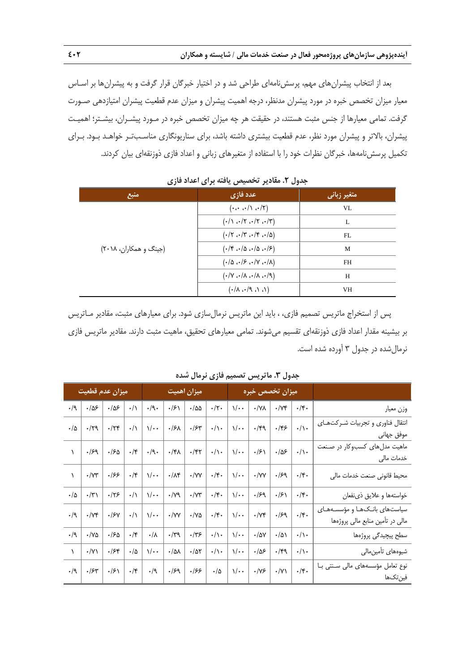بعد از انتخاب پيشرانهاي مهم، پرسشنامهاي طراحي شد و در اختيار خبرگان قرار گرفت و به پيشرانها بر اسـاس معيار ميزان تخصص خبره در مورد پيشران مدنظر، درجه اهميت پيشران و ميزان عدم قطعيت پيشران امتيازدهي صـورت گرفت. تمامي معيارها از جنس مثبت هستند، در حقيقت هر چه ميزان تخصص خبره در مـورد پيشـران، بيشـتر؛ اهميـت پيشران، بالاتر و پيشران مورد نظر، عدم قطعيت بيشتري داشته باشد، براي سناريونگاري مناسـبتـر خواهـد بـود. بـراي تكميل پرسشنامهها، خبرگان نظرات خود را با استفاده از متغيرهاي زباني و اعداد فازي ذوزنقهاي بيان كردند.

| منبع                   | عدد فازي                                                            | متغیر زبانی |
|------------------------|---------------------------------------------------------------------|-------------|
|                        | $(\cdot \cdot \cdot \cdot) \cdot \cdot \cdot \cdot \cdot)$          | <b>VL</b>   |
|                        | $( - / \Lambda \cdot / \Upsilon \cdot / \Upsilon \cdot / \Upsilon)$ | L           |
|                        | $(1.7 \cdot 17 \cdot 17 \cdot 16)$                                  | FL          |
| (جینگ و همکاران، ۲۰۱۸) | $(18.40 \cdot 10.00)$                                               | M           |
|                        | $(1/\delta \cdot 15 \cdot 1)(1/\delta)$                             | <b>FH</b>   |
|                        |                                                                     | H           |
|                        | (6.6.9.4).                                                          | VH          |

**جدول .2 مقادير تخصيص يافته براي اعداد فازي** 

پس از استخراج ماتريس تصميم فازي، ، بايد اين ماتريس نرمالسازي شود. براي معيارهاي مثبت، مقادير مـاتريس بر بيشينه مقدار اعداد فازي ذوزنقهاي تقسيم ميشوند. تمامي معيارهاي تحقيق، ماهيت مثبت دارند. مقادير ماتريس فازي نرمالشده در جدول 3 آورده شده است.

|                                                                | میزان تخصص خبره                     |                                   |                                                               | میزان اهمیت                                                                                                                                |                               |                           |                              | ميزان عدم قطعيت           |                |             |                      |                |
|----------------------------------------------------------------|-------------------------------------|-----------------------------------|---------------------------------------------------------------|--------------------------------------------------------------------------------------------------------------------------------------------|-------------------------------|---------------------------|------------------------------|---------------------------|----------------|-------------|----------------------|----------------|
| وزن معيار                                                      | $\cdot/\mathfrak{r}\cdot$           | $\cdot$ / $\vee$ ۴                | $\cdot$ /YA                                                   | $\sqrt{\cdot}$                                                                                                                             | $\cdot/\uparrow$ .            | $\cdot$ /55               | $\cdot$ /۶۱                  | $\cdot/\gamma$ .          | $\cdot/\gamma$ | ۹۵۶.        | $\cdot/\Delta$ ۶     | $\cdot$ /9     |
| انتقال فناورى وتجربيات شركتهاى<br>موفق جهاني                   | $\cdot/\cdot$                       | $\cdot$ /۴۶                       | $\cdot$ /۴۹                                                   | $\sqrt{\cdot \cdot}$                                                                                                                       | $\cdot/\rangle$ .             | $\cdot$ /۶۳               | ۰/۶۸                         | $\sqrt{\cdot \cdot}$      | $\cdot/\wedge$ | $\cdot$ /٢۴ | $\cdot$ /٢٩          | $\cdot/\Delta$ |
| ماهیت مدل های کسب و کار در صنعت<br>خدمات مالی                  | $\cdot/\rangle$ .                   | $\cdot/\mathfrak{d} \mathfrak{S}$ | $\left  \cdot \right $ $\cdot \right $ $\left  \cdot \right $ |                                                                                                                                            |                               | $\cdot$ /۴۲   $\cdot$ /). | $\cdot$ /۴۸                  | $\cdot/\mathfrak{q}\cdot$ | $\cdot$ /۴     | ۵۹۱۰        | $\cdot$ /۶۹          |                |
| محيط قانوني صنعت خدمات مالي                                    | $\boldsymbol{\cdot}/\mathfrak{r}$ . | $\cdot$ /۶۹                       | $\boldsymbol{\cdot}$ /YY                                      | $\sqrt{\cdot \cdot}$                                                                                                                       | $\cdot$ /YY $\vert \cdot$ /۴۰ |                           | $\cdot/\lambda$ ۴            | $\sqrt{\cdot \cdot}$      | $\cdot$ /۴     | .188        | $\cdot$ / $\gamma$ ۳ |                |
| خواستهها و علايق ذي نفعان                                      | $\boldsymbol{\cdot}/\mathfrak{r}$ . | $\cdot$ /۶۱                       |                                                               | $\vert \cdot / \sqrt{2} \vert \cdot / \sqrt{2} \cdot \vert \sqrt{2} \cdot \vert \cdot / \sqrt{2} \cdot \vert \cdot / \sqrt{2} \cdot \vert$ |                               |                           | $\sqrt{1 + \cdot}$ ./Y9      |                           | $\cdot/\gamma$ | $\cdot$ /٢۶ | $\cdot/\tau$         | $\cdot/\Delta$ |
| سیاستهای بانکها و مؤسسههای<br>مالی در تأمین منابع مالی پروژهها | $\cdot/\mathfrak{r}\cdot$           | .159                              | $\cdot/\gamma$ ۴                                              | $\sqrt{\cdot \cdot}$                                                                                                                       | $\cdot/\mathfrak{r}\cdot$     | $\cdot$ /YQ               | $\cdot$ /YY                  | $\sqrt{\cdot \cdot}$      | $\cdot/\gamma$ | $\cdot$ /۶۷ | $\cdot/\gamma$ ۴     | $\cdot/9$      |
| سطح پیچیدگی پروژهها                                            | $\cdot/\rangle$ .                   | $\cdot/\Delta$                    | $\cdot/\Delta V$                                              | $\backslash/\!\cdot\cdot$                                                                                                                  | $\cdot/\rangle$ .             | $\cdot$ /٣۶               | $\mathcal{M}\backslash\cdot$ | $\cdot/\lambda$           | $\cdot$ /۴     | ۰/۶۵        | $\cdot$ /Ya          | $\cdot/9$      |
| شيوەھاي تأمين مالي                                             | $\cdot/\rangle$                     | $\cdot$ /۴۹                       | $\cdot/\Delta \mathcal{F}$                                    | $\backslash/\!\cdot$ .                                                                                                                     | $\cdot/\rangle$ .             | $\cdot/\Delta\Upsilon$    | $\cdot/\Diamond\lambda$      | $\sqrt{\cdot \cdot}$      | $\cdot/\Delta$ | ۰۱۶۴        | $\cdot/\Upsilon$     |                |
| نوع تعامل مؤسسههای مالی سنتی با<br>فين تک ها                   | $\cdot/\mathfrak{r}\cdot$           | $\cdot/\Upsilon$                  | $\cdot$ /Y $\mathcal{F}$                                      | $\sqrt{\cdot \cdot}$                                                                                                                       | $\cdot/\Delta$                | .755                      | $\cdot$ /۶۹                  | $\cdot$ /9                | $\cdot$ /۴     | $\cdot$ /۶۱ | $\cdot$ /۶۳          | $\cdot$ /9     |

**جدول .3 ماتريس تصميم فازي نرمال شده**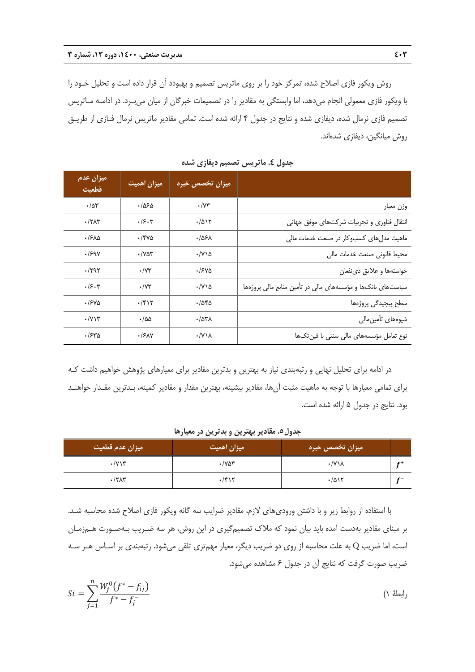روش ويكور فازي اصلاح شده، تمركز خود را بر روي ماتريس تصميم و بهبودد آن قرار داده است و تحليل خـود را با ويكور فازي معمولي انجام ميدهد، اما وابستگي به مقادير را در تصميمات خبرگان از ميان ميبـرد. در ادامـه مـاتريس تصميم فازي نرمال شده، ديفازي شده و نتايج در جدول 4 ارائه شده است. تمامي مقادير ماتريس نرمال فـازي از طريـق روش ميانگين، ديفازي شدهاند.

| ميزان عدم<br>قطعيت     | ميزان اهميت                                   | میزان تخصص خبره       |                                                             |
|------------------------|-----------------------------------------------|-----------------------|-------------------------------------------------------------|
| $\cdot/\Delta r$       | .1850                                         | $\cdot$ / $\vee\tau$  | وزن معيار                                                   |
| $\cdot$ /٢ $\Lambda$ ۳ | $\cdot$ / $\mathcal{F}$ $\cdot$ $\mathcal{V}$ | .7017                 | انتقال فناوري وتجربيات شركتهاى موفق جهاني                   |
| ۸۵-۱۶                  | ۱۴۷۵.                                         | ۰/۵۶۸                 | ماهیت مدل های کسبوکار در صنعت خدمات مالی                    |
| .199V                  | $\cdot$ / $\vee$ $\circ$ $\circ$              | $\cdot$ / $\vee$      | محيط قانوني صنعت خدمات مالي                                 |
| ۰/۲۹۲                  | $\cdot$ / $\vee\tau$                          | ۱۶۷۵.                 | خواستهها و علايق ذي نفعان                                   |
| .75.7                  | $\cdot$ / $\vee\tau$                          | $\cdot$ /Y \ $\Delta$ | سیاستهای بانکها و مؤسسههای مالی در تأمین منابع مالی پروژهها |
| ۷۵-۱۶                  | ۰/۴۱۲                                         | $\cdot$ /56           | سطح پیچیدگی پروژەها                                         |
| $\cdot$ / $\gamma$     | $\cdot$ /55                                   | $\cdot$ / $\Delta$ ۳۸ | شيوەهاي تأمين مالي                                          |
| ۳۵-۱۶                  | .15AN                                         | $\cdot$ /Y\ $\lambda$ | نوع تعامل مؤسسههای مالی سنتی با فین تکها                    |

**جدول .4 ماتريس تصميم ديفازي شده**

در ادامه براي تحليل نهايي و رتبهبندي نياز به بهترين و بدترين مقادير براي معيارهاي پژوهش خواهيم داشت كـه براي تمامي معيارها با توجه به ماهيت مثبت آنها، مقادير بيشينه، بهترين مقدار و مقادير كمينه، بـدترين مقـدار خواهنـد بود. نتايج در جدول 5 ارائه شده است.

| ميزان عدم قطعيت | ميزان اهميت  | میزان تخصص خبره       |              |
|-----------------|--------------|-----------------------|--------------|
| $\cdot$ / $V\$  | ۷۵۳-۰        | $\cdot$ /Y\ $\lambda$ | £+           |
| $\cdot$ /٢٨٣    | $\cdot$ /۴۱۲ | .7017                 | $\mathbf{C}$ |

**جدول.5 مقادير بهترين و بدترين در معيارها**

با استفاده از روابط زير و با داشتن وروديهاي لازم، مقادير ضرايب سه گانه ويكور فازي اصلاح شده محاسبه شـد. بر مبناي مقادير بهدست آمده بايد بيان نمود كه ملاك تصميمگيري در اين روش، هر سه ضـريب بـهصـورت هـمزمـان است، اما ضريب Q به علت محاسبه از روي دو ضريب ديگر، معيار مهمتري تلقي ميشود. رتبهبندي بر اسـاس هـر سـه ضريب صورت گرفت كه نتايج آن در جدول <sup>6</sup> مشاهده ميشود.

$$
Si = \sum_{j=1}^{n} \frac{W_j^0(f^* - f_{ij})}{f^* - f_j^-}
$$
 (1)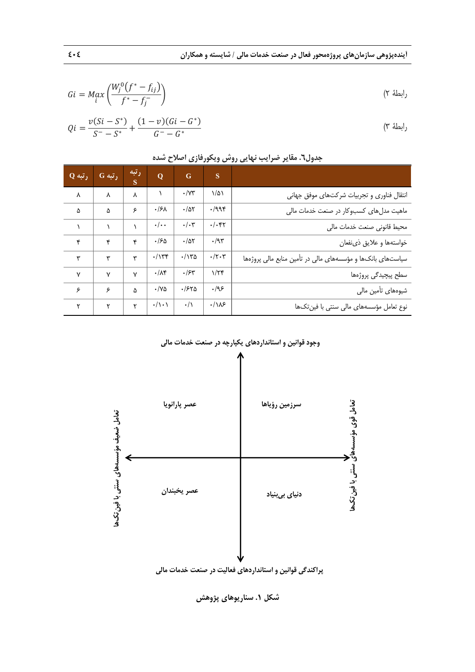$$
Gi = Max \left(\frac{W_j^0(f^* - f_{ij})}{f^* - f_j^-}\right) \tag{7-10}
$$

$$
Qi = \frac{\nu(Si - S^*)}{S^- - S^*} + \frac{(1 - \nu)(Gi - G^*)}{G^- - G^*}
$$
 (۳ ملامة)

| $Q$ رتبه        | G رتبه       | رتبه<br>S    | $\overline{O}$                | $\mathbf G$          | <sub>S</sub>          |                                                             |
|-----------------|--------------|--------------|-------------------------------|----------------------|-----------------------|-------------------------------------------------------------|
| $\pmb{\lambda}$ | ٨            | ٨            |                               | $\cdot$ / $\vee\tau$ | $1/\Delta$            | انتقال فناوري وتجربيات شركتهاى موفق جهانى                   |
| ۵               | ۵            | ۶            | $\cdot$ /۶۸                   | .78                  | .7998                 | ماهیت مدلهای کسبوکار در صنعت خدمات مالی                     |
| $\lambda$       |              |              | $\cdot/\cdot$                 | $\cdot/\cdot$ ۳      | $. / .$ ۴۲            | محيط قانوني صنعت خدمات مالي                                 |
| ۴               | ۴            | ۴            | .150                          | .78                  | .79                   | خواستهها و علايق ذي نفعان                                   |
| ٣               | ٣            | ٣            | $\cdot/\gamma$                | .782                 | $\cdot/\tau\cdot\tau$ | سیاستهای بانکها و مؤسسههای مالی در تأمین منابع مالی پروژهها |
| $\mathsf{v}$    | $\mathsf{v}$ | $\mathsf{v}$ | $\cdot/\lambda$ ۴             | .75                  | $1/\tau$              | سطح پیچیدگی پروژەها                                         |
| ۶               | ۶            | $\Delta$     | $\cdot$ /Ya                   | .1540                | .199                  | شیوههای تأمین مالی                                          |
| ۲               | ۲            | ۲            | $\cdot/\rangle \cdot \rangle$ | $\cdot/\wedge$       | $\cdot/\lambda$ ۶     | نوع تعامل مؤسسههای مالی سنتی با فین تکها                    |

**جدول.6 مقاير ضرايب نهايي روش ويكورفازي اصلاح شده**

**وجود قوانين و استانداردهاي يكپارچه در صنعت خدمات مالي**



**شكل .1 سناريوهاي پژوهش**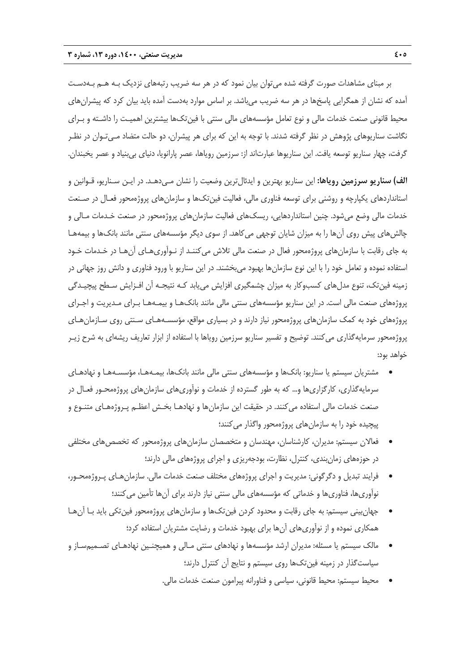بر مبناي مشاهدات صورت گرفته شده ميتوان بيان نمود كه در هر سه ضريب رتبههاي نزديك بـه هـم بـهدسـت آمده كه نشان از همگرايي پاسخها در هر سه ضريب ميباشد. بر اساس موارد بهدست آمده بايد بيان كرد كه پيشرانهاي محيط قانوني صنعت خدمات مالي و نوع تعامل مؤسسههاي مالي سنتي با فينتكها بيشترين اهميـت را داشـته و بـراي نگاشت سناريوهاي پژوهش در نظر گرفته شدند. با توجه به اين كه براي هر پيشران، دو حالت متضاد مـيتـوان در نظـر گرفت، چهار سناريو توسعه يافت. اين سناريوها عبارتاند از: سرزمين روياها، عصر پارانويا، دنياي بيبنياد و عصر يخبندان.

**الف) سناريو سرزمين روياها:** اين سناريو بهترين و ايدئالترين وضعيت را نشان مـيدهـد. در ايـن سـناريو، قـوانين و استانداردهاي يكپارچه و روشني براي توسعه فناوري مالي، فعاليت فينتكها و سازمانهاي پروژهمحور فعـال در صـنعت خدمات مالي وضع ميشود. چنين استانداردهايي، ريسكهاي فعاليت سازمانهاي پروژهمحور در صنعت خـدمات مـالي و چالش هاي پيش روي آن ها را به ميزان شايان توجهي مي كاهد. از سوي ديگر مؤسسههاي سنتي مانند بانک ها و بيمههـا به جاي رقابت با سازمانهاي پروژهمحور فعال در صنعت مالي تلاش ميكننـد از نـوآوريهـاي آنهـا در خـدمات خـود استفاده نموده و تعامل خود را با اين نوع سازمانها بهبود ميبخشند. در اين سناريو با ورود فناوري و دانش روز جهاني در زمينه فينتك، تنوع مدلهاي كسبوكار به ميزان چشمگيري افزايش مييابد كـه نتيجـه آن افـزايش سـطح پيچيـدگي پروژههاي صنعت مالي است. در اين سناريو مؤسسههاي سنتي مالي مانند بانكهـا و بيمـههـا بـراي مـديريت و اجـراي پروژههاي خود به كمك سازمانهاي پروژهمحور نياز دارند و در بسياري مواقع، مؤسسـههـاي سـنتي روي سـازمانهـاي پروژهمحور سرمايهگذاري ميكنند. توضيح و تفسير سناريو سرزمين روياها با استفاده از ابزار تعاريف ريشهاي به شرح زيـر خواهد بود:

- مشتريان سيستم يا سناريو: بانكها و مؤسسههاي سنتي مالي مانند بانكها، بيمـههـا، مؤسسـههـا و نهادهـاي سرمايهگذاري، كارگزاريها و... كه به طور گسترده از خدمات و نوآوريهاي سازمانهاي پروژهمحـور فعـال در صنعت خدمات مالي استفاده ميكنند. در حقيقت اين سازمانها و نهادهـا بخـش اعظـم پـروژههـاي متنـوع و پيچيده خود را به سازمان هاي پروژهمحور واگذار مي كنند؛
- فعالان سيستم: مديران، كارشناسان، مهندسان و متخصصان سازمانهاي پروژهمحور كه تخصصهاي مختلفي در حوزههاي زمانبندي، كنترل، نظارت، بودجهريزي و اجراي پروژههاي مالي دارند؛
- فرايند تبديل و دگرگوني: مديريت و اجراي پروژههاي مختلف صنعت خدمات مالي. سازمانهـاي پـروژهمحـور، نوآوريها، فناوريها و خدماتي كه مؤسسههاي مالي سنتي نياز دارند براي آنها تأمين ميكنند؛
- جهانبيني سيستم: به جاي رقابت و محدود كردن فينتكها و سازمانهاي پروژهمحور فينتكي بايد بـا آنهـا همكاري نموده و از نوآوريهاي آنها براي بهبود خدمات و رضايت مشتريان استفاده كرد؛
- مالك سيستم يا مسئله: مديران ارشد مؤسسهها و نهادهاي سنتي مـالي و هميچنـين نهادهـاي تصـميمسـاز و سياستگذار در زمينه فينتكها روي سيستم و نتايج آن كنترل دارند؛
	- محيط سيستم: محيط قانوني، سياسي و فناورانه پيرامون صنعت خدمات مالي.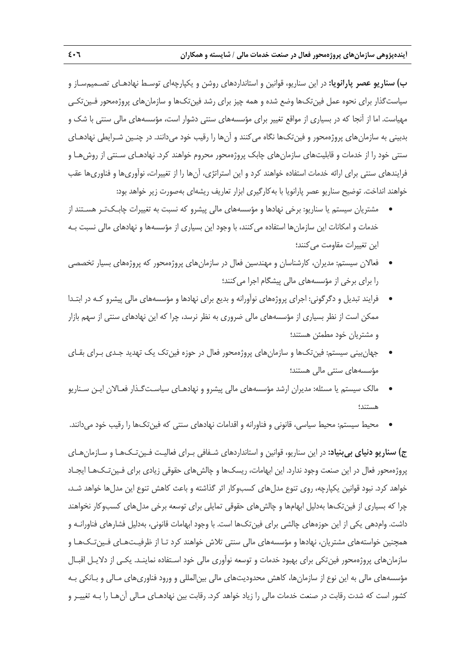**ب) سناريو عصر پارانويا:** در اين سناريو، قوانين و استانداردهاي روشن و يكپارچهاي توسـط نهادهـاي تصـميمسـاز و سياستگذار براي نحوه عمل فينتكها وضع شده و همه چيز براي رشد فينتكها و سازمانهاي پروژهمحور فـينتكـي مهياست. اما از آنجا كه در بسياري از مواقع تغيير براي مؤسسههاي سنتي دشوار است، مؤسسههاي مالي سنتي با شك و بدبيني به سازمانهاي پروژهمحور و فينتكها نگاه ميكنند و آنها را رقيب خود ميدانند. در چنـين شـرايطي نهادهـاي سنتي خود را از خدمات و قابليتهاي سازمانهاي چابك پروژهمحور محروم خواهند كرد. نهادهـاي سـنتي از روشهـا و فرايندهاي سنتي براي ارائه خدمات استفاده خواهند كرد و اين استراتژي، آنها را از تغييرات، نوآوريها و فناوريها عقب خواهند انداخت. توضيح سناريو عصر پارانويا با بهكارگيري ابزار تعاريف ريشهاي بهصورت زير خواهد بود:

- مشتريان سيستم يا سناريو: برخي نهادها و مؤسسههاي مالي پيشرو كه نسبت به تغييرات چابـكتـر هسـتند از خدمات و امكانات اين سازمانها استفاده ميكنند، با وجود اين بسياري از مؤسسهها و نهادهاي مالي نسبت بـه اين تغييرات مقاومت م*ي ك*نند؛
- فعالان سيستم: مديران، كارشناسان و مهندسين فعال در سازمانهاي پروژهمحور كه پروژههاي بسيار تخصصي را براي برخي از مؤسسههاي مالي پيشگام اجرا مي كنند؛
- فرايند تبديل و دگرگوني: اجراي پروژههاي نوآورانه و بديع براي نهادها و مؤسسههاي مالي پيشرو كـه در ابتـدا ممكن است از نظر بسياري از مؤسسههاي مالي ضروري به نظر نرسد، چرا كه اين نهادهاي سنتي از سهم بازار و مشتريان خود مطمئن هستند؛
- جهانبيني سيستم: فينتكها و سازمانهاي پروژهمحور فعال در حوزه فينتك يك تهديد جـدي بـراي بقـاي مؤسسههاي سنتي مالي هستند؛
- مالك سيستم يا مسئله: مديران ارشد مؤسسههاي مالي پيشرو و نهادهـاي سياسـتگـذار فعـالان ايـن سـناريو هستند؛
- محيط سيستم: محيط سياسي، قانوني و فناورانه و اقدامات نهادهاي سنتي كه فينتكها را رقيب خود ميدانند.

**ج) سناريو دنياي بيبنياد:** در اين سناريو، قوانين و استانداردهاي شـفافي بـراي فعاليـت فـينتـكهـا و سـازمانهـاي پروژهمحور فعال در اين صنعت وجود ندارد. اين ابهامات، ريسكها و چالشهاي حقوقي زيادي براي فـينتـكهـا ايجـاد خواهد كرد. نبود قوانين يكپارچه، روي تنوع مدلهاي كسبوكار اثر گذاشته و باعث كاهش تنوع اين مدلها خواهد شـد، چرا كه بسياري از فينتكها بهدليل ابهامها و چالشهاي حقوقي تمايلي براي توسعه برخي مدلهاي كسبوكار نخواهند داشت. وامدهي يكي از اين حوزههاي چالشي براي فينتكها است. با وجود ابهامات قانوني، بهدليل فشارهاي فناورانـه و همچنين خواستههاي مشتريان، نهادها و مؤسسههاي مالي سنتي تلاش خواهند كرد تـا از ظرفيـتهـاي فـينتـكهـا و سازمانهاي پروژهمحور فينتكي براي بهبود خدمات و توسعه نوآوري مالي خود اسـتفاده نماينـد. يكـي از دلايـل اقبـال مؤسسههاي مالي به اين نوع از سازمانها، كاهش محدوديتهاي مالي بينالمللي و ورود فناوريهاي مـالي و بـانكي بـه كشور است كه شدت رقابت در صنعت خدمات مالي را زياد خواهد كرد. رقابت بين نهادهـاي مـالي آنهـا را بـه تغييـر و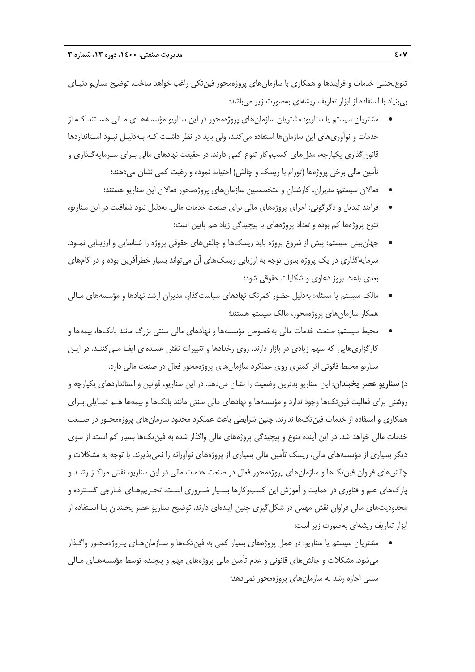تنوعبخشي خدمات و فرايندها و همكاري با سازمانهاي پروژهمحور فينتكي راغب خواهد ساخت. توضيح سناريو دنيـاي بيبنياد با استفاده از ابزار تعاريف ريشهاي بهصورت زير ميباشد:

- مشتريان سيستم يا سناريو: مشتريان سازمانهاي پروژهمحور در اين سناريو مؤسسههـاي مـالي هسـتند كـه از خدمات و نوآوريهاي اين سازمانها استفاده ميكنند، ولي بايد در نظر داشـت كـه بـهدليـل نبـود اسـتانداردها قانونگذاري يكپارچه، مدلهاي كسبوكار تنوع كمي دارند. در حقيقت نهادهاي مالي بـراي سـرمايهگـذاري و تأمين مالي برخي پروژهها (تورام با ريسك و چالش) احتياط نموده و رغبت كمي نشان ميدهند؛
	- فعالان سيستم: مديران، كارشنان و متخصصين سازمانهاي پروژهمحور فعالان اين سناريو هستند؛
- فرايند تبديل و دگرگوني: اجراي پروژههاي مالي براي صنعت خدمات مالي. بهدليل نبود شفافيت در اين سناريو، تنوع پروژهها كم بوده و تعداد پروژههاي با پيچيدگي زياد هم پايين است؛
- جهانبيني سيستم: پيش از شروع پروژه بايد ريسكـها و چالشهاي حقوقي پروژه را شناسايي و ارزيـابي نمـود. سرمايهگذاري در يك پروژه بدون توجه به ارزيابي ريسكهاي آن ميتواند بسيار خطرآفرين بوده و در گامهاي بعدي باعث بروز دعاوي و شكايات حقوقي شود؛
- مالك سيستم يا مسئله: بهدليل حضور كمرنگ نهادهاي سياستگذار، مديران ارشد نهادها و مؤسسههاي مـالي همكار سازمانهاي پروژهمحور، مالك سيستم هستند؛
- محيط سيستم: صنعت خدمات مالي بهخصوص مؤسسهها و نهادهاي مالي سنتي بزرگ مانند بانكها، بيمهها و كارگزاريهايي كه سهم زيادي در بازار دارند، روي رخدادها و تغييرات نقش عمـدهاي ايفـا مـيكننـد. در ايـن سناريو محيط قانوني اثر كمتري روي عملكرد سازمانهاي پروژهمحور فعال در صنعت مالي دارد.

د) **سناريو عصر يخبندان**: اين سناريو بدترين وضعيت را نشان ميدهد. در اين سناريو، قوانين و استانداردهاي يكپارچه و روشني براي فعاليت فينتكها وجود ندارد و مؤسسهها و نهادهاي مالي سنتي مانند بانكها و بيمهها هـم تمـايلي بـراي همكاري و استفاده از خدمات فينتكها ندارند. چنين شرايطي باعث عملكرد محدود سازمانهاي پروژهمحـور در صـنعت خدمات مالي خواهد شد. در اين آينده تنوع و پيچيدگي پروژههاي مالي واگذار شده به فينتكها بسيار كم است. از سوي ديگر بسياري از مؤسسههاي مالي، ريسك تأمين مالي بسياري از پروژههاي نوآورانه را نميپذيرند. با توجه به مشكلات و چالشهاي فراوان فينتكها و سازمانهاي پروژهمحور فعال در صنعت خدمات مالي در اين سناريو، نقش مراكـز رشـد و پاركهاي علم و فناوري در حمايت و آموزش اين كسبوكارها بسـيار ضـروري اسـت. تحـريمهـاي خـارجي گسـترده و محدوديتهاي مالي فراوان نقش مهمي در شكلگيري چنين آيندهاي دارند. توضيح سناريو عصر يخبندان بـا اسـتفاده از ابزار تعاريف ريشهاي بهصورت زير است:

 مشتريان سيستم يا سناريو: در عمل پروژههاي بسيار كمي به فينتكها و سـازمانهـاي پـروژهمحـور واگـذار ميشود. مشكلات و چالشهاي قانوني و عدم تأمين مالي پروژههاي مهم و پيچيده توسط مؤسسههـاي مـالي سنتي اجازه رشد به سازمان هاي پروژهمحور نمي دهد؛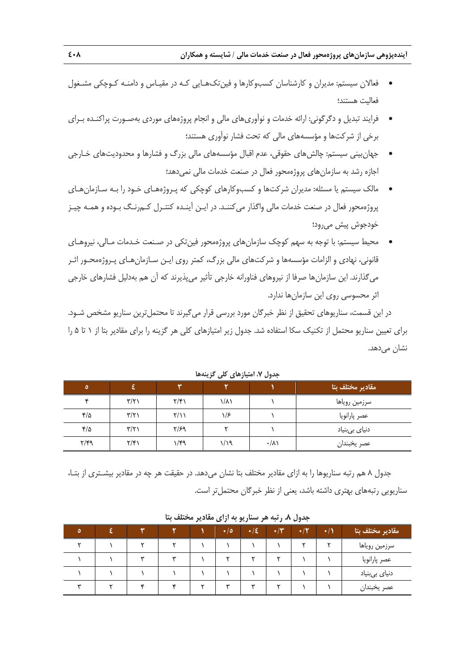- فعالان سيستم: مديران و كارشناسان كسبوكارها و فينتكهـايي كـه در مقيـاس و دامنـه كـوچكي مشـغول فعاليت هستند؛
- فرايند تبديل و دگرگوني: ارائه خدمات و نوآوريهاي مالي و انجام پروژههاي موردي بهصـورت پراكنـده بـراي برخي از شركتها و مؤسسههاي مالي كه تحت فشار نوآوري هستند؛
- جهانبيني سيستم: چالشهاي حقوقي، عدم اقبال مؤسسههاي مالي بزرگ و فشارها و محدوديتهاي خـارجي اجازه رشد به سازمانهاي پروژهمحور فعال در صنعت خدمات مالي نميدهد؛
- مالك سيستم يا مسئله: مديران شركتها و كسبوكارهاي كوچكي كه پـروژههـاي خـود را بـه سـازمانهـاي پروژهمحور فعال در صنعت خدمات مالي واگذار مي كننـد. در ايـن آينـده كنتـرل كـمرنـگ بـوده و همـه چيـز خودجوش پيش ميرود؛
- محيط سيستم: با توجه به سهم كوچك سازمانهاي پروژهمحور فينتكي در صـنعت خـدمات مـالي، نيروهـاي قانوني، نهادي و الزامات مؤسسهها و شركتهاي مالي بزرگ، كمتر روي ايـن سـازمانهـاي پـروژهمحـور اثـر ميگذارند. اين سازمانها صرفا از نيروهاي فناورانه خارجي تأثير ميپذيرند كه آن هم بهدليل فشارهاي خارجي اثر محسوسي روي اين سازمانها ندارد.

در اين قسمت، سناريوهاي تحقيق از نظر خبرگان مورد بررسي قرار ميگيرند تا محتملترين سناريو مشخص شـود. براي تعيين سناريو محتمل از تكنيك سكا استفاده شد. جدول زير امتيازهاي كلي هر گزينه را براي مقادير بتا از 1 تا 5 را نشان مي دهد.

| $\circ$                 |                         | ₩                       |                   |                 | ً مقادير مختلف بتا ا  |  |  |  |  |  |  |
|-------------------------|-------------------------|-------------------------|-------------------|-----------------|-----------------------|--|--|--|--|--|--|
| $\mathbf{c}$            | $\mathbf{y}^{\prime}$   | $\mathsf{Y}/\mathsf{Y}$ | $\lambda/\lambda$ |                 | سرزمين روياها         |  |  |  |  |  |  |
| $\frac{1}{2}$           | $\mathbf{y}^{\prime}$   | $\frac{1}{2}$           | ۱۱۶               |                 | عصر پارانويا          |  |  |  |  |  |  |
| $\mathbf{r}/\mathbf{r}$ | $\mathbf{y}^{\prime}$   | $\frac{1}{2}$           |                   |                 | دنیا <i>ی</i> بیبنیاد |  |  |  |  |  |  |
| $\mathbf{Y}/\mathbf{Y}$ | $\mathbf{Y}/\mathbf{Y}$ | ۱/۴۹                    | ۱/۱۹              | $\cdot/\lambda$ | عصر يخبندان           |  |  |  |  |  |  |

**جدول .7 امتيازهاي كلي گزينهها** 

جدول 8 هم رتبه سناريوها را به ازاي مقادير مختلف بتا نشان ميدهد. در حقيقت هر چه در مقادير بيشـتري از بتـا، سناريويي رتبههاي بهتري داشته باشد، يعني از نظر خبرگان محتملتر است.

|    | بده |   | $\bullet/\circ$ | $\cdot$ /٤ | $4/\overline{Y}$ | 4/7 | $\cdot/1$ | مقادير مختلف بتا |
|----|-----|---|-----------------|------------|------------------|-----|-----------|------------------|
|    |     |   |                 |            |                  |     |           | سرزمين روياها    |
|    | سہ  | - |                 |            |                  |     |           | عصر پارانويا     |
|    |     |   |                 |            |                  |     |           | دنیای بیبنیاد    |
| سه |     |   | سه              | سہ         |                  |     |           | عصر يخبندان      |

**جدول .8 رتبه هر سناريو به ازاي مقادير مختلف بتا**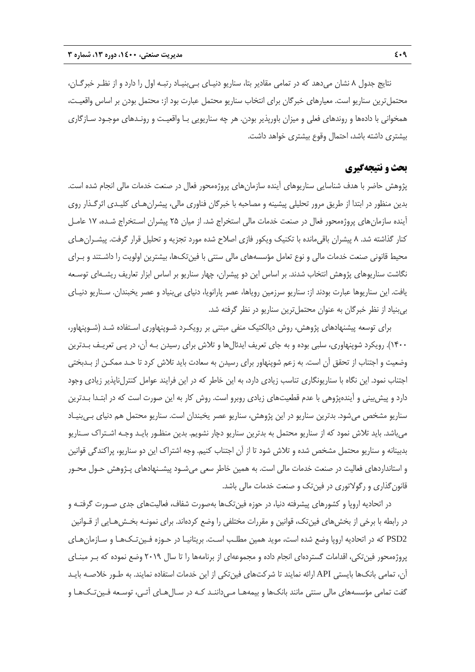نتايج جدول 8 نشان ميدهد كه در تمامي مقادير بتا، سناريو دنيـاي بـيبنيـاد رتبـه اول را دارد و از نظـر خبرگـان، محتملترين سناريو است. معيارهاي خبرگان براي انتخاب سناريو محتمل عبارت بود از: محتمل بودن بر اساس واقعيـت، همخواني با دادهها و روندهاي فعلي و ميزان باورپذير بودن. هر چه سناريويي بـا واقعيـت و رونـدهاي موجـود سـازگاري بيشتري داشته باشد، احتمال وقوع بيشتري خواهد داشت.

## **بحث و نتيجهگيري**

پژوهش حاضر با هدف شناسايي سناريوهاي آينده سازمانهاي پروژهمحور فعال در صنعت خدمات مالي انجام شده است. بدين منظور در ابتدا از طريق مرور تحليلي پيشينه و مصاحبه با خبرگان فناوري مالي، پيشرانهـاي كليـدي اثرگـذار روي آينده سازمانهاي پروژهمحور فعال در صنعت خدمات مالي استخراج شد. از ميان 25 پيشران اسـتخراج شـده، 17 عامـل كنار گذاشته شد. 8 پيشران باقيمانده با تكنيك ويكور فازي اصلاح شده مورد تجزيه و تحليل قرار گرفت. پيشـرانهـاي محيط قانوني صنعت خدمات مالي و نوع تعامل مؤسسههاي مالي سنتي با فينتكها، بيشترين اولويت را داشـتند و بـراي نگاشت سناريوهاي پژوهش انتخاب شدند. بر اساس اين دو پيشران، چهار سناريو بر اساس ابزار تعاريف ريشـهاي توسـعه يافت. اين سناريوها عبارت بودند از: سناريو سرزمين روياها، عصر پارانويا، دنياي بيبنياد و عصر يخبندان. سـناريو دنيـاي بيبنياد از نظر خبرگان به عنوان محتملترين سناريو در نظر گرفته شد.

براي توسعه پيشنهادهاي پژوهش، روش ديالكتيك منفي مبتني بر رويكـرد شـوپنهاوري اسـتفاده شـد (شـوپنهاور، 1400). رويكرد شوپنهاوري، سلبي بوده و به جاي تعريف ايدئالها و تلاش براي رسيدن بـه آن، در پـي تعريـف بـدترين وضعيت و اجتناب از تحقق آن است. به زعم شوپنهاور براي رسيدن به سعادت بايد تلاش كرد تا حـد ممكـن از بـدبختي اجتناب نمود. اين نگاه با سناريونگاري تناسب زيادي دارد، به اين خاطر كه در اين فرايند عوامل كنترلناپذير زيادي وجود دارد و پيشبيني و آيندهپژوهي با عدم قطعيتهاي زيادي روبرو است. روش كار به اين صورت است كه در ابتـدا بـدترين سناريو مشخص ميشود. بدترين سناريو در اين پژوهش، سناريو عصر يخبندان است. سناريو محتمل هم دنياي بـيبنيـاد ميباشد. بايد تلاش نمود كه از سناريو محتمل به بدترين سناريو دچار نشويم. بدين منظـور بايـد وجـه اشـتراك سـناريو بدبينانه و سناريو محتمل مشخص شده و تلاش شود تا از آن اجتناب كنيم. وجه اشتراك اين دو سناريو، پراكندگي قوانين و استانداردهاي فعاليت در صنعت خدمات مالي است. به همين خاطر سعي ميشـود پيشـنهادهاي پـژوهش حـول محـور قانونگذاري و رگولاتوري در فينتك و صنعت خدمات مالي باشد.

در اتحاديه اروپا و كشورهاي پيشرفته دنيا، در حوزه فينتكها بهصورت شفاف، فعاليتهاي جدي صـورت گرفتـه و در رابطه با برخي از بخشهاي فينتك، قوانين و مقررات مختلفي را وضع كردهاند. براي نمونـه بخـشهـايي از قـوانين 2PSD كه در اتحاديه اروپا وضع شده است، مويد همين مطلـب اسـت. بريتانيـا در حـوزه فـينتـكهـا و سـازمانهـاي پروژهمحور فينتكي، اقدامات گستردهاي انجام داده و مجموعهاي از برنامهها را تا سال 2019 وضع نموده كه بـر مبنـاي آن، تمامي بانكها بايستي API ارائه نمايند تا شركتهاي فينتكي از اين خدمات استفاده نمايند. به طـور خلاصـه بايـد گفت تمامي مؤسسههاي مالي سنتي مانند بانكها و بيمههـا مـيداننـد كـه در سـالهـاي آتـي، توسـعه فـينتـكهـا و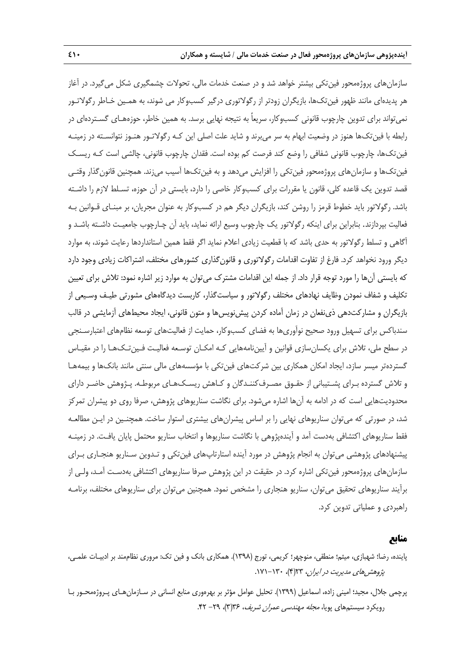سازمانهاي پروژهمحور فينتكي بيشتر خواهد شد و در صنعت خدمات مالي، تحولات چشمگيري شكل ميگيرد. در آغاز هر پديدهاي مانند ظهور فينتكها، بازيگران زودتر از رگولاتوري درگير كسبوكار مي شوند، به همـين خـاطر رگولاتـور نميتواند براي تدوين چارچوب قانوني كسبوكار، سريعاً به نتيجه نهايي برسد. به همين خاطر، حوزههـاي گسـتردهاي در رابطه با فينتكها هنوز در وضعيت ابهام به سر ميبرند و شايد علت اصلي اين كـه رگولاتـور هنـوز نتوانسـته در زمينـه فينتكها، چارچوب قانوني شفافي را وضع كند فرصت كم بوده است. فقدان چارچوب قانوني، چالشي است كـه ريسـك فينتكها و سازمانهاي پروژهمحور فينتكي را افزايش ميدهد و به فينتكها آسيب ميزند. همچنين قانونگذار وقتـي قصد تدوين يك قاعده كلي، قانون يا مقررات براي كسبوكار خاصي را دارد، بايستي در آن حوزه، تسـلط لازم را داشـته باشد. رگولاتور بايد خطوط قرمز را روشن كند، بازيگران ديگر هم در كسبوكار به عنوان مجريان، بر مبنـاي قـوانين بـه فعاليت بپردازند. بنابراين براي اينكه رگولاتور يك چارچوب وسيع ارائه نمايد، بايد آن چـارچوب جامعيـت داشـته باشـد و آگاهي و تسلط رگولاتور به حدي باشد كه با قطعيت زيادي اعلام نمايد اگر فقط همين استانداردها رعايت شوند، به موارد ديگر ورود نخواهد كرد. فارغ از تفاوت اقدامات رگولاتوري و قانونگذاري كشورهاي مختلف، اشتراكات زيادي وجود دارد كه بايستي آنها را مورد توجه قرار داد. از جمله اين اقدامات مشترك ميتوان به موارد زير اشاره نمود: تلاش براي تعيين تكليف و شفاف نمودن وظايف نهادهاي مختلف رگولاتور و سياستگذار، كاربست ديدگاههاي مشورتي طيـف وسـيعي از بازيگران و مشاركتدهي ذينفعان در زمان آماده كردن پيشنويسها و متون قانوني، ايجاد محيطهاي آزمايشي در قالب سندباكس براي تسهيل ورود صحيح نوآوريها به فضاي كسبوكار، حمايت از فعاليتهاي توسعه نظامهاي اعتبارسـنجي در سطح ملي، تلاش براي يكسانسازي قوانين و آييننامههايي كـه امكـان توسـعه فعاليـت فـينتـكهـا را در مقيـاس گستردهتر ميسر سازد، ايجاد امكان همكاري بين شركتهاي فينتكي با مؤسسههاي مالي سنتي مانند بانكها و بيمههـا و تلاش گسترده بـراي پشـتيباني از حقـوق مصـرفكننـدگان و كـاهش ريسـكهـاي مربوطـه. پـژوهش حاضـر داراي محدوديتهايي است كه در ادامه به آنها اشاره ميشود. براي نگاشت سناريوهاي پژوهش، صرفا روي دو پيشران تمركز شد، در صورتي كه ميتوان سناريوهاي نهايي را بر اساس پيشرانهاي بيشتري استوار ساخت. همچنـين در ايـن مطالعـه فقط سناريوهاي اكتشافي بهدست آمد و آيندهپژوهي با نگاشت سناريوها و انتخاب سناريو محتمل پايان يافـت. در زمينـه پيشنهادهاي پژوهشي ميتوان به انجام پژوهش در مورد آينده استارتاپهاي فينتكي و تـدوين سـناريو هنجـاري بـراي سازمانهاي پروژهمحور فينتكي اشاره كرد. در حقيقت در اين پژوهش صرفا سناريوهاي اكتشافي بهدسـت آمـد، ولـي از برآيند سناريوهاي تحقيق ميتوان، سناريو هنجاري را مشخص نمود. همچنين ميتوان براي سناريوهاي مختلف، برنامـه راهبردي و عملياتي تدوين كرد.

## **منابع**

- پاينده، رضا؛ شهبازي، ميثم؛ منطقي، منوچهر؛ كريمي، تورج (1398). همكاري بانك و فين تك: مروري نظاممند بر ادبيـات علمـي، پژوهش هاي مديريت در ايران، ٢٣(۴)، ١٣٠-١٧١.
- پرچمي جلال، مجيد؛ اميني زاده، اسماعيل (1399). تحليل عوامل مؤثر بر بهرهوري منابع انساني در سـازمانهـاي پـروژهمحـور بـا رويكرد سيستمهاي پويا، *مجله مهندسي عمران شريف، ٦*٣۶/ ٢٩- ۴۲.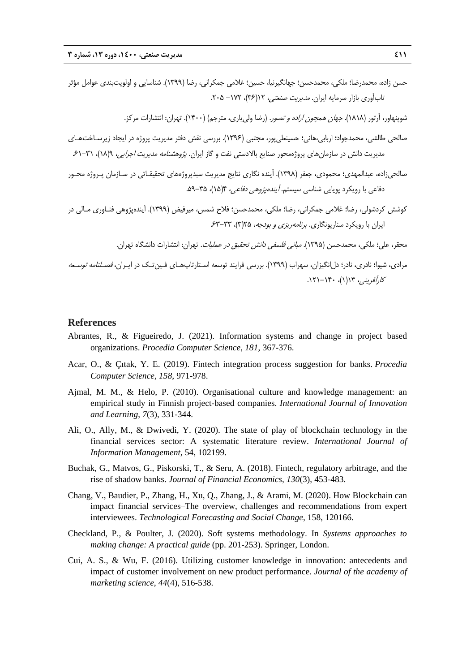حسن زاده، محمدرضا؛ ملكي، محمدحسن؛ جهانگيرنيا، حسين؛ غلامي جمكراني، رضا (1399). شناسايي و اولويتبندي عوامل مؤثر تابآوري بازار سرمايه ايران. *مديريت صنعتي،* ١٢(٣۶)، ١٧٢ - ٢٠۵.

شوپنهاور، آرتور (1818). جهان همچون اراده <sup>و</sup> تصور. (رضا وليياري، مترجم) (1400). تهران: انتشارات مركز.

- صالحي طالشي، محمدجواد؛ اربابي،هاني؛ حسينعليپور، مجتبي (1396). بررسي نقش دفتر مديريت پروژه در ايجاد زيرسـاختهـاي مديريت دانش در سازمان هاي پروژهمحور صنايع بالادستي نفت و گاز ايران. *پژوهشنامه مديريت اجرايي،* ٩(١٨)، ٣١-٤١.
- صالحيزاده، عبدالمهدي؛ محمودي، جعفر (1398). آينده نگاري نتايج مديريت سبدپروژههاي تحقيقـاتي در سـازمان پـروژه محـور دفاعي با رويكرد پويايي شناسي سيستم. *آيندهپژوهي دفاعي*، ۴(۱۵)، ۳۵–۵۹.
- كوشش كردشولي، رضا؛ غلامي جمكراني، رضا؛ ملكي، محمدحسن؛ فلاح شمس، ميرفيض (1399). آيندهپژوهي فنـاوري مـالي در ايران با رويكرد سناريونگاري. *برنامهريزي و بودجه*، 7۵(۳)، ۳۳-۶۳.

محقر، علي؛ ملكي، محمدحسن (۱۳۹۵). *مباني فلسفي دانش تحقيق در عمليات*. تهران: انتشارات دانشگاه تهران.

مرادي، شيوا؛ نادري، نادر؛ دل|نگيزان، سهراب (١٣٩٩). بررسي فرايند توسعه اسـتارتاپهـاي فـينتـك در ايـران، *فصـلنامه توسـعه* كادآفديني، ١٣(١)، ١٤-١٢١.

#### **References**

- Abrantes, R., & Figueiredo, J. (2021). Information systems and change in project based organizations. *Procedia Computer Science*, *181*, 367-376.
- Acar, O., & Çıtak, Y. E. (2019). Fintech integration process suggestion for banks. *Procedia Computer Science*, *158*, 971-978.
- Ajmal, M. M., & Helo, P. (2010). Organisational culture and knowledge management: an empirical study in Finnish project-based companies. *International Journal of Innovation and Learning*, *7*(3), 331-344.
- Ali, O., Ally, M., & Dwivedi, Y. (2020). The state of play of blockchain technology in the financial services sector: A systematic literature review. *International Journal of Information Management,* 54, 102199.
- Buchak, G., Matvos, G., Piskorski, T., & Seru, A. (2018). Fintech, regulatory arbitrage, and the rise of shadow banks. *Journal of Financial Economics*, *130*(3), 453-483.
- Chang, V., Baudier, P., Zhang, H., Xu, Q., Zhang, J., & Arami, M. (2020). How Blockchain can impact financial services–The overview, challenges and recommendations from expert interviewees. *Technological Forecasting and Social Change*, 158, 120166.
- Checkland, P., & Poulter, J. (2020). Soft systems methodology. In *Systems approaches to making change: A practical guide* (pp. 201-253). Springer, London.
- Cui, A. S., & Wu, F. (2016). Utilizing customer knowledge in innovation: antecedents and impact of customer involvement on new product performance. *Journal of the academy of marketing science*, *44*(4), 516-538.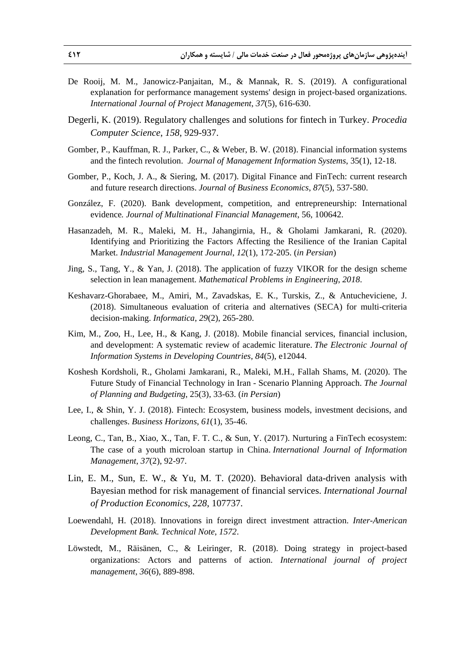- De Rooij, M. M., Janowicz-Panjaitan, M., & Mannak, R. S. (2019). A configurational explanation for performance management systems' design in project-based organizations. *International Journal of Project Management*, *37*(5), 616-630.
- Degerli, K. (2019). Regulatory challenges and solutions for fintech in Turkey. *Procedia Computer Science*, *158*, 929-937.
- Gomber, P., Kauffman, R. J., Parker, C., & Weber, B. W. (2018). Financial information systems and the fintech revolution. *Journal of Management Information Systems*, 35(1), 12-18.
- Gomber, P., Koch, J. A., & Siering, M. (2017). Digital Finance and FinTech: current research and future research directions. *Journal of Business Economics*, *87*(5), 537-580.
- González, F. (2020). Bank development, competition, and entrepreneurship: International evidence*. Journal of Multinational Financial Management*, 56, 100642.
- Hasanzadeh, M. R., Maleki, M. H., Jahangirnia, H., & Gholami Jamkarani, R. (2020). Identifying and Prioritizing the Factors Affecting the Resilience of the Iranian Capital Market. *Industrial Management Journal*, *12*(1), 172-205. (*in Persian*)
- Jing, S., Tang, Y., & Yan, J. (2018). The application of fuzzy VIKOR for the design scheme selection in lean management. *Mathematical Problems in Engineering*, *2018*.
- Keshavarz-Ghorabaee, M., Amiri, M., Zavadskas, E. K., Turskis, Z., & Antucheviciene, J. (2018). Simultaneous evaluation of criteria and alternatives (SECA) for multi-criteria decision-making. *Informatica*, *29*(2), 265-280.
- Kim, M., Zoo, H., Lee, H., & Kang, J. (2018). Mobile financial services, financial inclusion, and development: A systematic review of academic literature. *The Electronic Journal of Information Systems in Developing Countries*, *84*(5), e12044.
- Koshesh Kordsholi, R., Gholami Jamkarani, R., Maleki, M.H., Fallah Shams, M. (2020). The Future Study of Financial Technology in Iran - Scenario Planning Approach. *The Journal of Planning and Budgeting*, 25(3), 33-63. (*in Persian*)
- Lee, I., & Shin, Y. J. (2018). Fintech: Ecosystem, business models, investment decisions, and challenges. *Business Horizons*, *61*(1), 35-46.
- Leong, C., Tan, B., Xiao, X., Tan, F. T. C., & Sun, Y. (2017). Nurturing a FinTech ecosystem: The case of a youth microloan startup in China. *International Journal of Information Management*, *37*(2), 92-97.
- Lin, E. M., Sun, E. W., & Yu, M. T. (2020). Behavioral data-driven analysis with Bayesian method for risk management of financial services. *International Journal of Production Economics*, *228*, 107737.
- Loewendahl, H. (2018). Innovations in foreign direct investment attraction. *Inter-American Development Bank. Technical Note*, *1572*.
- Löwstedt, M., Räisänen, C., & Leiringer, R. (2018). Doing strategy in project-based organizations: Actors and patterns of action. *International journal of project management*, *36*(6), 889-898.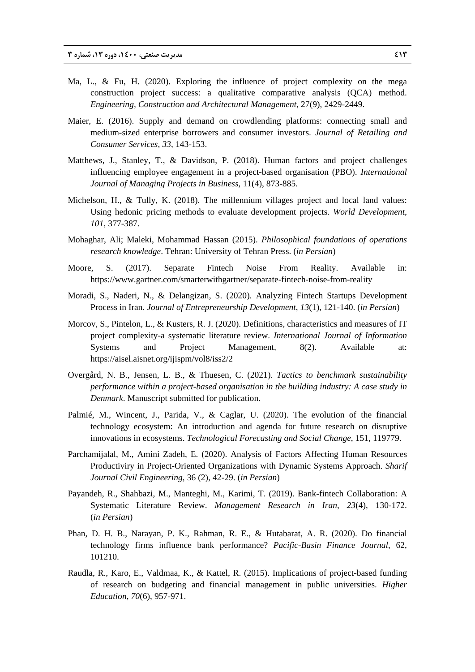- Ma, L., & Fu, H. (2020). Exploring the influence of project complexity on the mega construction project success: a qualitative comparative analysis (QCA) method. *Engineering, Construction and Architectural Management*, 27(9), 2429-2449.
- Maier, E. (2016). Supply and demand on crowdlending platforms: connecting small and medium-sized enterprise borrowers and consumer investors. *Journal of Retailing and Consumer Services*, *33*, 143-153.
- Matthews, J., Stanley, T., & Davidson, P. (2018). Human factors and project challenges influencing employee engagement in a project-based organisation (PBO). *International Journal of Managing Projects in Business*, 11(4), 873-885.
- Michelson, H., & Tully, K. (2018). The millennium villages project and local land values: Using hedonic pricing methods to evaluate development projects. *World Development*, *101*, 377-387.
- Mohaghar, Ali; Maleki, Mohammad Hassan (2015). *Philosophical foundations of operations research knowledge*. Tehran: University of Tehran Press. (*in Persian*)
- Moore, S. (2017). Separate Fintech Noise From Reality. Available in: https://www.gartner.com/smarterwithgartner/separate-fintech-noise-from-reality
- Moradi, S., Naderi, N., & Delangizan, S. (2020). Analyzing Fintech Startups Development Process in Iran. *Journal of Entrepreneurship Development*, *13*(1), 121-140. (*in Persian*)
- Morcov, S., Pintelon, L., & Kusters, R. J. (2020). Definitions, characteristics and measures of IT project complexity-a systematic literature review. *International Journal of Information*  Systems and Project Management, 8(2). Available at: https://aisel.aisnet.org/ijispm/vol8/iss2/2
- Overgård, N. B., Jensen, L. B., & Thuesen, C. (2021). *Tactics to benchmark sustainability performance within a project-based organisation in the building industry: A case study in Denmark*. Manuscript submitted for publication.
- Palmié, M., Wincent, J., Parida, V., & Caglar, U. (2020). The evolution of the financial technology ecosystem: An introduction and agenda for future research on disruptive innovations in ecosystems. *Technological Forecasting and Social Change*, 151, 119779.
- Parchamijalal, M., Amini Zadeh, E. (2020). Analysis of Factors Affecting Human Resources Productiviry in Project-Oriented Organizations with Dynamic Systems Approach. *Sharif Journal Civil Engineering*, 36 (2), 42-29. (*in Persian*)
- Payandeh, R., Shahbazi, M., Manteghi, M., Karimi, T. (2019). Bank-fintech Collaboration: A Systematic Literature Review. *Management Research in Iran*, *23*(4), 130-172. (*in Persian*)
- Phan, D. H. B., Narayan, P. K., Rahman, R. E., & Hutabarat, A. R. (2020). Do financial technology firms influence bank performance? *Pacific-Basin Finance Journal*, 62, 101210.
- Raudla, R., Karo, E., Valdmaa, K., & Kattel, R. (2015). Implications of project-based funding of research on budgeting and financial management in public universities. *Higher Education*, *70*(6), 957-971.